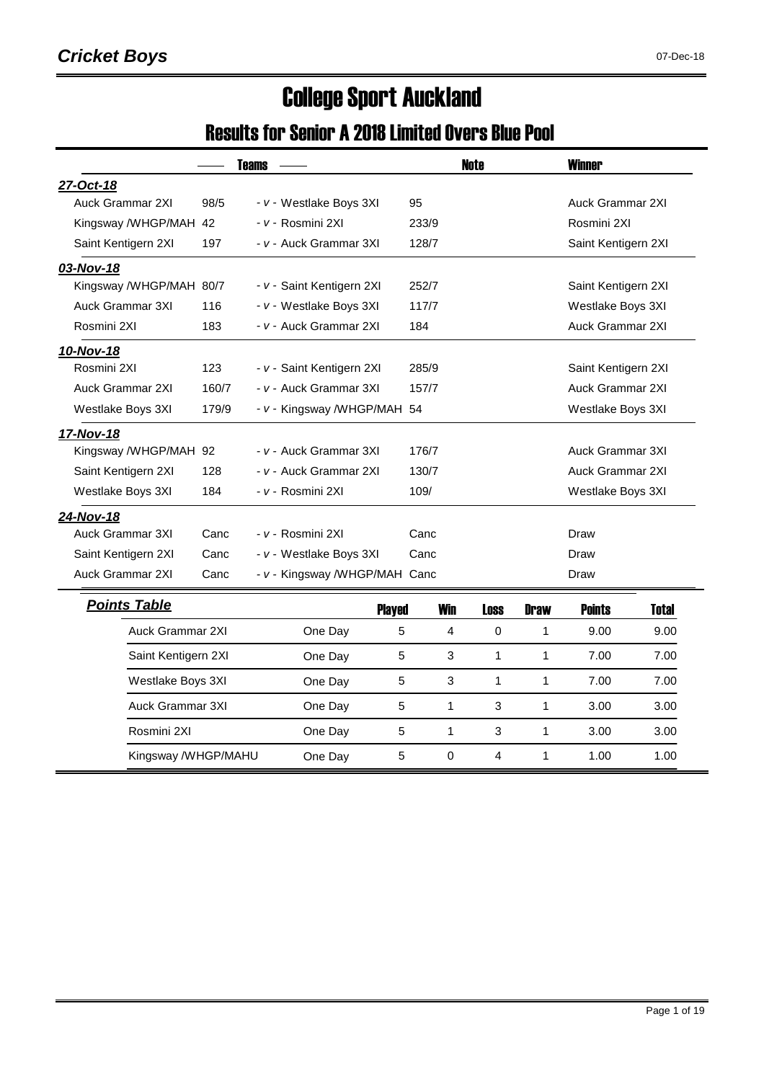# College Sport Auckland

#### Results for Senior A 2018 Limited Overs Blue Pool

|                         |       | <b>Teams</b>                  |       |              | <b>Note</b>      |                  | <b>Winner</b>           |              |  |
|-------------------------|-------|-------------------------------|-------|--------------|------------------|------------------|-------------------------|--------------|--|
| 27-Oct-18               |       |                               |       |              |                  |                  |                         |              |  |
| Auck Grammar 2XI        | 98/5  | - v - Westlake Boys 3XI       | 95    |              |                  |                  | <b>Auck Grammar 2XI</b> |              |  |
| Kingsway /WHGP/MAH      | 42    | - v - Rosmini 2XI             |       | 233/9        |                  |                  | Rosmini 2XI             |              |  |
| Saint Kentigern 2XI     | 197   | - v - Auck Grammar 3XI        |       | 128/7        |                  |                  | Saint Kentigern 2XI     |              |  |
| 03-Nov-18               |       |                               |       |              |                  |                  |                         |              |  |
| Kingsway /WHGP/MAH 80/7 |       | - v - Saint Kentigern 2XI     |       | 252/7        |                  |                  | Saint Kentigern 2XI     |              |  |
| <b>Auck Grammar 3XI</b> | 116   | - v - Westlake Boys 3XI       |       | 117/7        |                  |                  | Westlake Boys 3XI       |              |  |
| Rosmini 2XI             | 183   | - v - Auck Grammar 2XI        | 184   |              |                  |                  | <b>Auck Grammar 2XI</b> |              |  |
| 10-Nov-18               |       |                               |       |              |                  |                  |                         |              |  |
| Rosmini 2XI             | 123   | - v - Saint Kentigern 2XI     |       | 285/9        |                  |                  | Saint Kentigern 2XI     |              |  |
| Auck Grammar 2XI        | 160/7 | - v - Auck Grammar 3XI        |       | 157/7        |                  | Auck Grammar 2XI |                         |              |  |
| Westlake Boys 3XI       | 179/9 | - v - Kingsway /WHGP/MAH 54   |       |              |                  |                  | Westlake Boys 3XI       |              |  |
| 17-Nov-18               |       |                               |       |              |                  |                  |                         |              |  |
| Kingsway /WHGP/MAH 92   |       | - v - Auck Grammar 3XI        | 176/7 |              | Auck Grammar 3XI |                  |                         |              |  |
| Saint Kentigern 2XI     | 128   | - v - Auck Grammar 2XI        |       | 130/7        |                  |                  | <b>Auck Grammar 2XI</b> |              |  |
| Westlake Boys 3XI       | 184   | - v - Rosmini 2XI             | 109/  |              |                  |                  | Westlake Boys 3XI       |              |  |
| 24-Nov-18               |       |                               |       |              |                  |                  |                         |              |  |
| Auck Grammar 3XI        | Canc  | <i>- v -</i> Rosmini 2XI      | Canc  |              |                  |                  | Draw                    |              |  |
| Saint Kentigern 2XI     | Canc  | - v - Westlake Boys 3XI       | Canc  |              |                  |                  | Draw                    |              |  |
| Auck Grammar 2XI        | Canc  | - v - Kingsway /WHGP/MAH Canc |       |              |                  |                  | Draw                    |              |  |
| <b>Points Table</b>     |       | <b>Played</b>                 |       | <b>Win</b>   | <b>Loss</b>      | <b>Draw</b>      | <b>Points</b>           | <b>Total</b> |  |
| Auck Grammar 2XI        |       | One Day                       | 5     | 4            | $\mathbf 0$      | 1                | 9.00                    | 9.00         |  |
| Saint Kentigern 2XI     |       | One Day                       | 5     | 3            | 1                | $\mathbf{1}$     | 7.00                    | 7.00         |  |
| Westlake Boys 3XI       |       | One Day                       | 5     | 3            | 1                | $\mathbf{1}$     | 7.00                    | 7.00         |  |
| <b>Auck Grammar 3XI</b> |       | One Day                       | 5     | $\mathbf{1}$ | 3                | $\mathbf{1}$     | 3.00                    | 3.00         |  |
| Rosmini 2XI             |       | One Day                       | 5     | 1            | 3                | $\mathbf{1}$     | 3.00                    | 3.00         |  |
| Kingsway /WHGP/MAHU     |       | One Day                       | 5     | $\Omega$     | 4                | 1                | 1.00                    | 1.00         |  |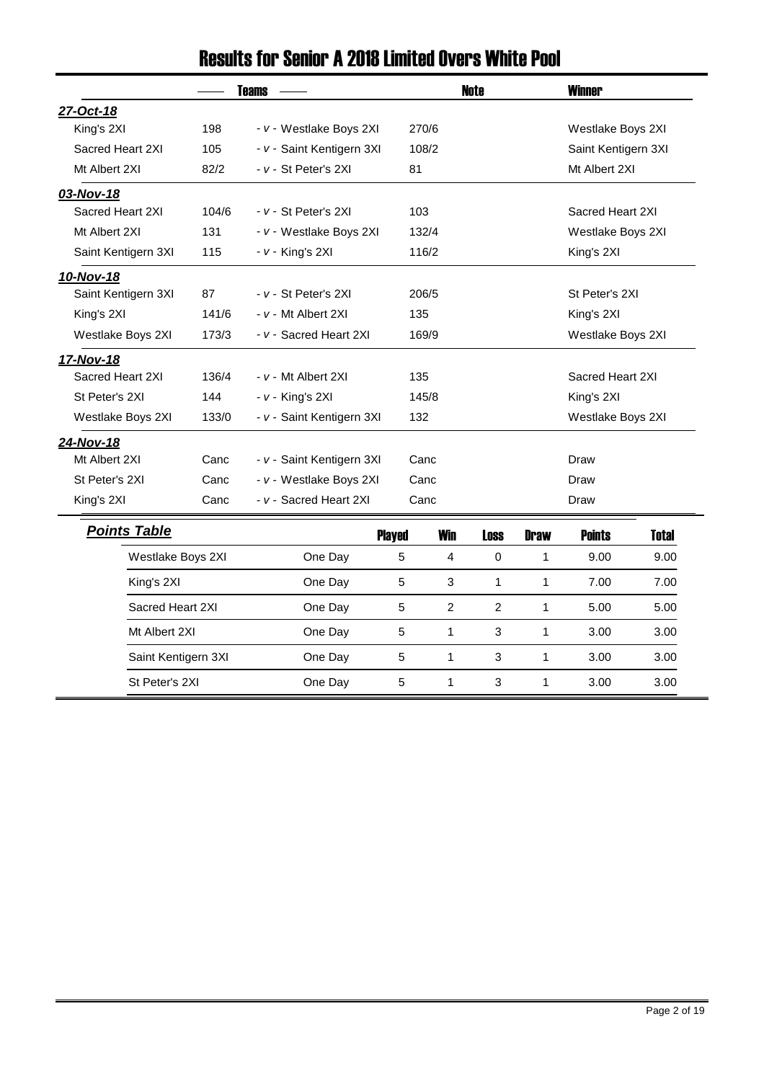#### Results for Senior A 2018 Limited Overs White Pool

|                     |       | <b>Teams</b>              |               |            | <b>Note</b> |             | <b>Winner</b>       |              |  |
|---------------------|-------|---------------------------|---------------|------------|-------------|-------------|---------------------|--------------|--|
| 27-Oct-18           |       |                           |               |            |             |             |                     |              |  |
| King's 2XI          | 198   | - v - Westlake Boys 2XI   |               | 270/6      |             |             | Westlake Boys 2XI   |              |  |
| Sacred Heart 2XI    | 105   | - v - Saint Kentigern 3XI |               | 108/2      |             |             | Saint Kentigern 3XI |              |  |
| Mt Albert 2XI       | 82/2  | - v - St Peter's 2XI      | 81            |            |             |             | Mt Albert 2XI       |              |  |
| 03-Nov-18           |       |                           |               |            |             |             |                     |              |  |
| Sacred Heart 2XI    | 104/6 | - v - St Peter's 2XI      | 103           |            |             |             | Sacred Heart 2XI    |              |  |
| Mt Albert 2XI       | 131   | - v - Westlake Boys 2XI   |               | 132/4      |             |             | Westlake Boys 2XI   |              |  |
| Saint Kentigern 3XI | 115   | $- v -$ King's 2XI        |               | 116/2      |             |             | King's 2XI          |              |  |
| 10-Nov-18           |       |                           |               |            |             |             |                     |              |  |
| Saint Kentigern 3XI | 87    | - v - St Peter's 2XI      |               | 206/5      |             |             | St Peter's 2XI      |              |  |
| King's 2XI          | 141/6 | - v - Mt Albert 2XI       | 135           |            |             |             | King's 2XI          |              |  |
| Westlake Boys 2XI   | 173/3 | - v - Sacred Heart 2XI    | 169/9         |            |             |             | Westlake Boys 2XI   |              |  |
| 17-Nov-18           |       |                           |               |            |             |             |                     |              |  |
| Sacred Heart 2XI    | 136/4 | - v - Mt Albert 2XI       | 135           |            |             |             | Sacred Heart 2XI    |              |  |
| St Peter's 2XI      | 144   | $- v -$ King's 2XI        |               | 145/8      |             |             | King's 2XI          |              |  |
| Westlake Boys 2XI   | 133/0 | - v - Saint Kentigern 3XI | 132           |            |             |             | Westlake Boys 2XI   |              |  |
| 24-Nov-18           |       |                           |               |            |             |             |                     |              |  |
| Mt Albert 2XI       | Canc  | - v - Saint Kentigern 3XI |               | Canc       |             |             | Draw                |              |  |
| St Peter's 2XI      | Canc  | - v - Westlake Boys 2XI   |               | Canc       |             |             | Draw                |              |  |
| King's 2XI          | Canc  | - v - Sacred Heart 2XI    |               | Canc       |             |             | Draw                |              |  |
| <b>Points Table</b> |       |                           | <b>Played</b> | <b>Win</b> | <b>Loss</b> | <b>Draw</b> | <b>Points</b>       | <b>Total</b> |  |
| Westlake Boys 2XI   |       | One Day                   | 5             | 4          | $\mathbf 0$ | 1           | 9.00                | 9.00         |  |
| King's 2XI          |       | One Day                   | 5             | 3          | 1           | 1           | 7.00                | 7.00         |  |
| Sacred Heart 2XI    |       | One Day                   | 5             | 2          | 2           | 1           | 5.00                | 5.00         |  |
| Mt Albert 2XI       |       | One Day                   | 5             | 1          | 3           | 1           | 3.00                |              |  |
| Saint Kentigern 3XI |       | One Day                   | 5             | 1          | 3           | 1           | 3.00                | 3.00         |  |
| St Peter's 2XI      |       | One Dav                   | 5             | 1          | 3           | 1           | 3.00                | 3.00         |  |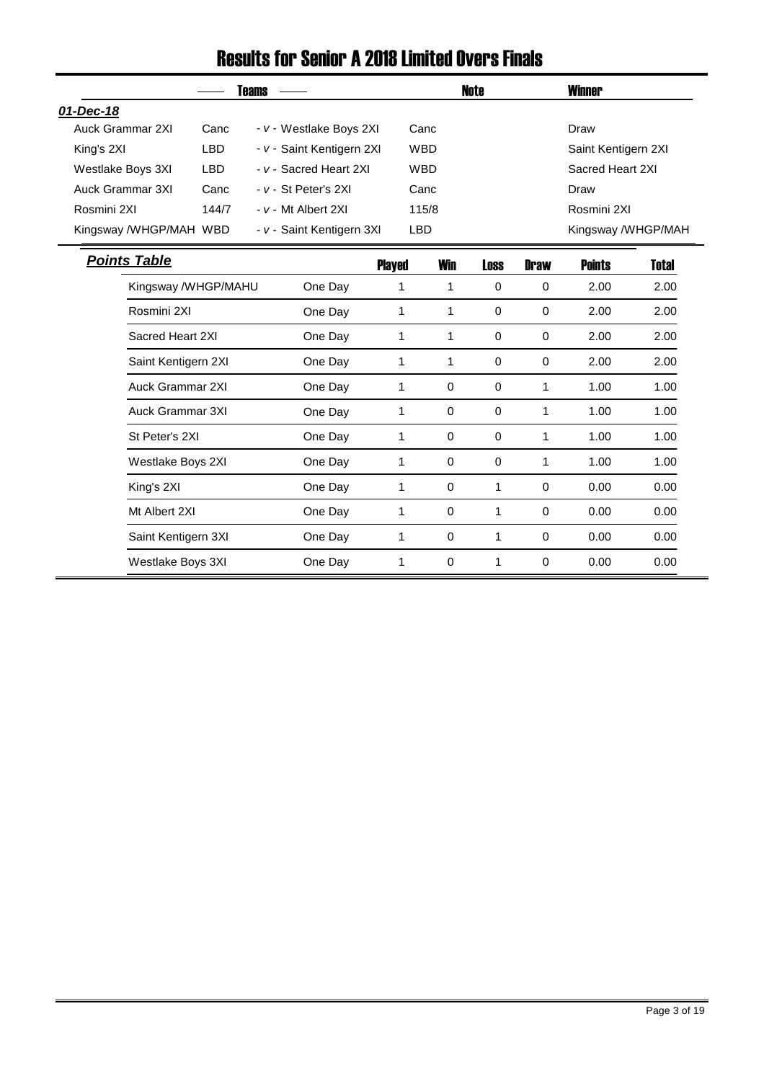#### Results for Senior A 2018 Limited Overs Finals

|                         |            | <b>Teams</b>              |               |             | Note        |             | <b>Winner</b>       |              |
|-------------------------|------------|---------------------------|---------------|-------------|-------------|-------------|---------------------|--------------|
| 01-Dec-18               |            |                           |               |             |             |             |                     |              |
| Auck Grammar 2XI        | Canc       | - v - Westlake Boys 2XI   |               | Canc        |             |             | Draw                |              |
| King's 2XI              | <b>LBD</b> | - v - Saint Kentigern 2XI |               | <b>WBD</b>  |             |             | Saint Kentigern 2XI |              |
| Westlake Boys 3XI       | <b>LBD</b> | - v - Sacred Heart 2XI    |               | <b>WBD</b>  |             |             | Sacred Heart 2XI    |              |
| Auck Grammar 3XI        | Canc       | - v - St Peter's 2XI      |               | Canc        |             |             | Draw                |              |
| Rosmini 2XI             | 144/7      | - v - Mt Albert 2XI       |               | 115/8       |             |             | Rosmini 2XI         |              |
| Kingsway /WHGP/MAH WBD  |            | - v - Saint Kentigern 3XI | <b>LBD</b>    |             |             |             | Kingsway /WHGP/MAH  |              |
| <b>Points Table</b>     |            |                           | <b>Played</b> | <b>Win</b>  | <b>Loss</b> | <b>Draw</b> | <b>Points</b>       | <b>Total</b> |
| Kingsway /WHGP/MAHU     |            | One Day                   | 1             | 1           | $\mathbf 0$ | 0           | 2.00                | 2.00         |
| Rosmini 2XI             |            | One Day                   | 1             | 1           | $\mathbf 0$ | $\mathbf 0$ | 2.00                | 2.00         |
| Sacred Heart 2XI        |            | One Day                   | 1             | 1           | 0           | $\mathbf 0$ | 2.00                | 2.00         |
| Saint Kentigern 2XI     |            | One Day                   | 1             | 1           | $\Omega$    | $\mathbf 0$ | 2.00                | 2.00         |
| Auck Grammar 2XI        |            | One Day                   | 1             | $\mathbf 0$ | 0           | 1           | 1.00                | 1.00         |
| <b>Auck Grammar 3XI</b> |            | One Day                   | 1             | $\mathbf 0$ | 0           | 1           | 1.00                | 1.00         |
| St Peter's 2XI          |            | One Day                   | 1             | $\mathbf 0$ | $\mathbf 0$ | 1           | 1.00                | 1.00         |
| Westlake Boys 2XI       |            | One Day                   | 1             | $\mathbf 0$ | $\pmb{0}$   | 1           | 1.00                | 1.00         |
| King's 2XI              |            | One Day                   | 1             | $\mathbf 0$ | 1           | 0           | 0.00                | 0.00         |
| Mt Albert 2XI           |            | One Day                   | 1             | $\mathbf 0$ | 1           | 0           | 0.00                | 0.00         |
| Saint Kentigern 3XI     |            | One Day                   | 1             | $\mathbf 0$ | 1           | 0           | 0.00                | 0.00         |
| Westlake Boys 3XI       |            | One Day                   | 1             | 0           | 1           | 0           | 0.00                | 0.00         |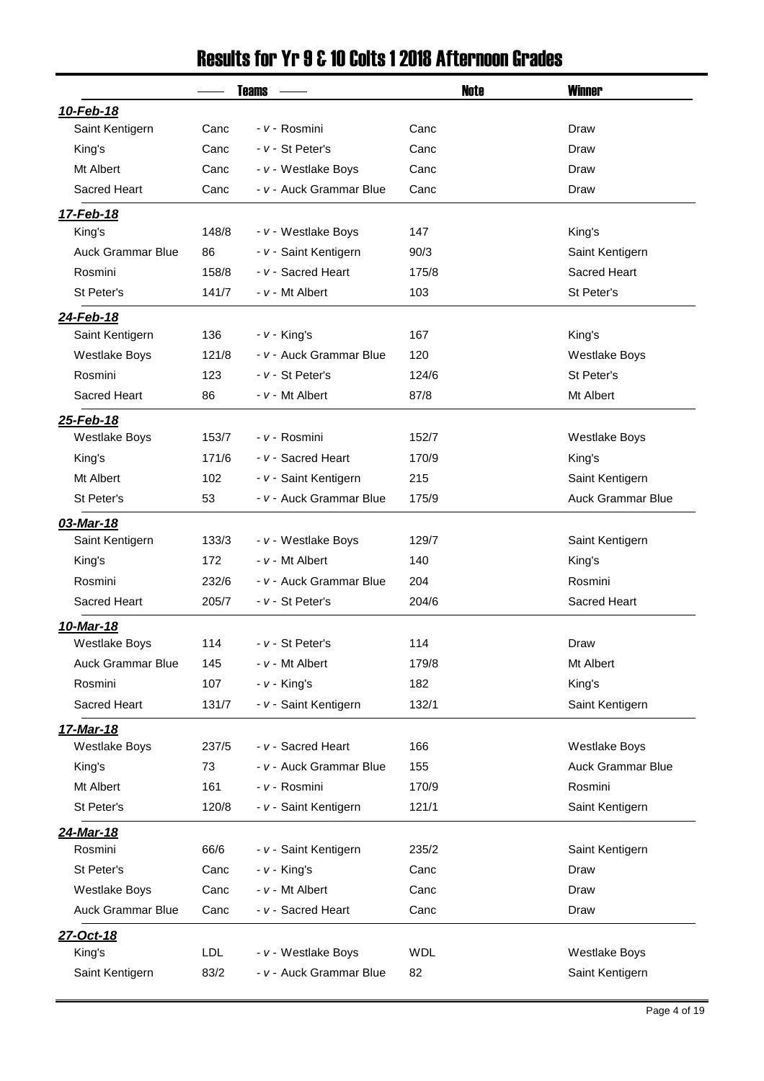#### Results for Yr 9 & 10 Colts 1 2018 Afternoon Grades

|                          |            | <b>Teams</b>            | <b>Note</b> | <b>Winner</b>            |
|--------------------------|------------|-------------------------|-------------|--------------------------|
| 10-Feb-18                |            |                         |             |                          |
| Saint Kentigern          | Canc       | - v - Rosmini           | Canc        | Draw                     |
| King's                   | Canc       | - v - St Peter's        | Canc        | Draw                     |
| Mt Albert                | Canc       | - v - Westlake Boys     | Canc        | Draw                     |
| Sacred Heart             | Canc       | - v - Auck Grammar Blue | Canc        | Draw                     |
| 17-Feb-18                |            |                         |             |                          |
| King's                   | 148/8      | - v - Westlake Boys     | 147         | King's                   |
| <b>Auck Grammar Blue</b> | 86         | - v - Saint Kentigern   | 90/3        | Saint Kentigern          |
| Rosmini                  | 158/8      | - v - Sacred Heart      | 175/8       | Sacred Heart             |
| St Peter's               | 141/7      | - v - Mt Albert         | 103         | St Peter's               |
| 24-Feb-18                |            |                         |             |                          |
| Saint Kentigern          | 136        | $- v -$ King's          | 167         | King's                   |
| <b>Westlake Boys</b>     | 121/8      | - v - Auck Grammar Blue | 120         | <b>Westlake Boys</b>     |
| Rosmini                  | 123        | - v - St Peter's        | 124/6       | St Peter's               |
| Sacred Heart             | 86         | - v - Mt Albert         | 87/8        | Mt Albert                |
| 25-Feb-18                |            |                         |             |                          |
| <b>Westlake Boys</b>     | 153/7      | - v - Rosmini           | 152/7       | <b>Westlake Boys</b>     |
| King's                   | 171/6      | - v - Sacred Heart      | 170/9       | King's                   |
| Mt Albert                | 102        | - v - Saint Kentigern   | 215         | Saint Kentigern          |
| St Peter's               | 53         | - v - Auck Grammar Blue | 175/9       | <b>Auck Grammar Blue</b> |
| 03-Mar-18                |            |                         |             |                          |
| Saint Kentigern          | 133/3      | - v - Westlake Boys     | 129/7       | Saint Kentigern          |
| King's                   | 172        | $- v - Mt$ Albert       | 140         | King's                   |
| Rosmini                  | 232/6      | - v - Auck Grammar Blue | 204         | Rosmini                  |
| Sacred Heart             | 205/7      | $- v - St$ Peter's      | 204/6       | Sacred Heart             |
| 10-Mar-18                |            |                         |             |                          |
| <b>Westlake Boys</b>     | 114        | - v - St Peter's        | 114         | Draw                     |
| <b>Auck Grammar Blue</b> | 145        | - v - Mt Albert         | 179/8       | Mt Albert                |
| Rosmini                  | 107        | $- v -$ King's          | 182         | King's                   |
| Sacred Heart             | 131/7      | - v - Saint Kentigern   | 132/1       | Saint Kentigern          |
| 17-Mar-18                |            |                         |             |                          |
| <b>Westlake Boys</b>     | 237/5      | - v - Sacred Heart      | 166         | <b>Westlake Boys</b>     |
| King's                   | 73         | - v - Auck Grammar Blue | 155         | Auck Grammar Blue        |
| Mt Albert                | 161        | - v - Rosmini           | 170/9       | Rosmini                  |
| St Peter's               | 120/8      | - v - Saint Kentigern   | 121/1       | Saint Kentigern          |
| 24-Mar-18                |            |                         |             |                          |
| Rosmini                  | 66/6       | - v - Saint Kentigern   | 235/2       | Saint Kentigern          |
| St Peter's               | Canc       | $- v -$ King's          | Canc        | Draw                     |
| <b>Westlake Boys</b>     | Canc       | $- v - Mt$ Albert       | Canc        | Draw                     |
| <b>Auck Grammar Blue</b> | Canc       | - v - Sacred Heart      | Canc        | Draw                     |
| 27-Oct-18                |            |                         |             |                          |
| King's                   | <b>LDL</b> | - v - Westlake Boys     | <b>WDL</b>  | <b>Westlake Boys</b>     |
|                          |            |                         |             |                          |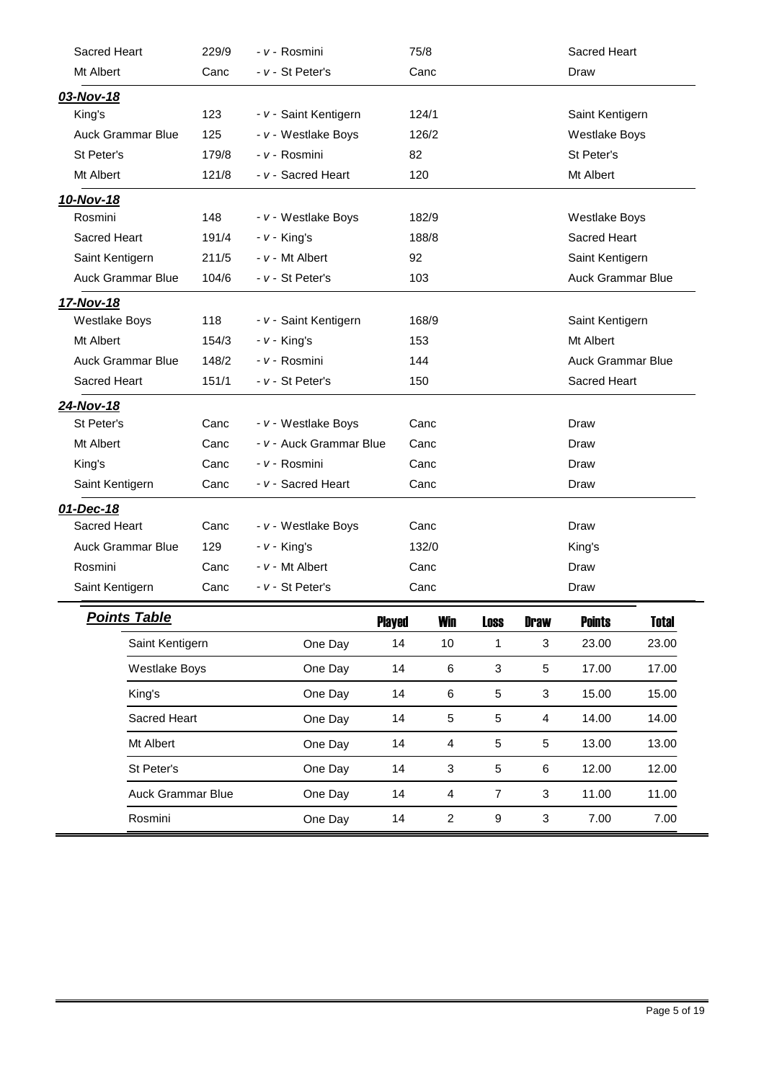| Sacred Heart             |                          | 229/9 | - v - Rosmini           | 75/8          |                |                           |                           | <b>Sacred Heart</b>      |                          |  |  |
|--------------------------|--------------------------|-------|-------------------------|---------------|----------------|---------------------------|---------------------------|--------------------------|--------------------------|--|--|
| Mt Albert                |                          | Canc  | - v - St Peter's        |               | Canc           |                           | Draw                      |                          |                          |  |  |
| 03-Nov-18                |                          |       |                         |               |                |                           |                           |                          |                          |  |  |
| King's                   |                          | 123   | - v - Saint Kentigern   |               | 124/1          |                           |                           | Saint Kentigern          |                          |  |  |
| <b>Auck Grammar Blue</b> |                          | 125   | - v - Westlake Boys     |               | 126/2          |                           |                           | <b>Westlake Boys</b>     |                          |  |  |
| St Peter's               |                          | 179/8 | - v - Rosmini           | 82            |                |                           |                           | St Peter's               |                          |  |  |
| Mt Albert                |                          | 121/8 | - v - Sacred Heart      | 120           |                |                           |                           | Mt Albert                |                          |  |  |
| 10-Nov-18                |                          |       |                         |               |                |                           |                           |                          |                          |  |  |
| Rosmini                  |                          | 148   | - v - Westlake Boys     |               | 182/9          |                           |                           | <b>Westlake Boys</b>     |                          |  |  |
| Sacred Heart             |                          | 191/4 | $- v -$ King's          |               | 188/8          |                           |                           | Sacred Heart             |                          |  |  |
| Saint Kentigern          |                          | 211/5 | $- v - Mt$ Albert       | 92            |                |                           |                           | Saint Kentigern          |                          |  |  |
| <b>Auck Grammar Blue</b> |                          | 104/6 | - v - St Peter's        | 103           |                |                           |                           | <b>Auck Grammar Blue</b> |                          |  |  |
| 17-Nov-18                |                          |       |                         |               |                |                           |                           |                          |                          |  |  |
| <b>Westlake Boys</b>     |                          | 118   | - v - Saint Kentigern   |               | 168/9          |                           |                           | Saint Kentigern          |                          |  |  |
| Mt Albert                |                          | 154/3 | $- v -$ King's          | 153           |                |                           |                           | Mt Albert                |                          |  |  |
| <b>Auck Grammar Blue</b> |                          | 148/2 | - v - Rosmini           | 144           |                |                           |                           |                          | <b>Auck Grammar Blue</b> |  |  |
| Sacred Heart             |                          | 151/1 | - v - St Peter's        | 150           |                |                           |                           | Sacred Heart             |                          |  |  |
| 24-Nov-18                |                          |       |                         |               |                |                           |                           |                          |                          |  |  |
| St Peter's               |                          | Canc  | - v - Westlake Boys     |               | Canc           |                           |                           | Draw                     |                          |  |  |
| Mt Albert                |                          | Canc  | - v - Auck Grammar Blue |               | Canc           |                           |                           | Draw                     |                          |  |  |
| King's                   |                          | Canc  | - v - Rosmini           |               | Canc           |                           |                           | Draw                     |                          |  |  |
| Saint Kentigern          |                          | Canc  | - v - Sacred Heart      |               | Canc           |                           |                           | Draw                     |                          |  |  |
| 01-Dec-18                |                          |       |                         |               |                |                           |                           |                          |                          |  |  |
| Sacred Heart             |                          | Canc  | - v - Westlake Boys     |               | Canc           |                           |                           | Draw                     |                          |  |  |
| <b>Auck Grammar Blue</b> |                          | 129   | $- v - King's$          |               | 132/0          |                           |                           | King's                   |                          |  |  |
| Rosmini                  |                          | Canc  | $- v - Mt$ Albert       |               | Canc           |                           |                           | Draw                     |                          |  |  |
| Saint Kentigern          |                          | Canc  | - v - St Peter's        |               | Canc           |                           |                           | Draw                     |                          |  |  |
|                          | <b>Points Table</b>      |       |                         | <b>Played</b> | Win            | <b>Loss</b>               | <b>Draw</b>               | <b>Points</b>            | <b>Total</b>             |  |  |
|                          | Saint Kentigern          |       | One Day                 | 14            | 10             | 1                         | $\mathbf{3}$              | 23.00                    | 23.00                    |  |  |
|                          | <b>Westlake Boys</b>     |       | One Day                 | 14            | 6              | $\ensuremath{\mathsf{3}}$ | 5                         | 17.00                    | 17.00                    |  |  |
|                          | King's                   |       | One Day                 | 14            | 6              | $\sqrt{5}$                | $\sqrt{3}$                | 15.00                    | 15.00                    |  |  |
|                          | Sacred Heart             |       | One Day                 | 14            | 5              | $\sqrt{5}$                | $\overline{4}$            | 14.00                    | 14.00                    |  |  |
|                          | Mt Albert                |       | One Day                 | 14            | 4              | $\sqrt{5}$                | $\sqrt{5}$                | 13.00                    | 13.00                    |  |  |
|                          | St Peter's               |       | One Day                 | 14            | 3              | $\sqrt{5}$                | 6                         | 12.00                    | 12.00                    |  |  |
|                          | <b>Auck Grammar Blue</b> |       | One Day                 | 14            | 4              | $\overline{7}$            | $\ensuremath{\mathsf{3}}$ | 11.00                    | 11.00                    |  |  |
|                          | Rosmini                  |       | One Day                 | 14            | $\overline{a}$ | $\boldsymbol{9}$          | $\ensuremath{\mathsf{3}}$ | 7.00                     | 7.00                     |  |  |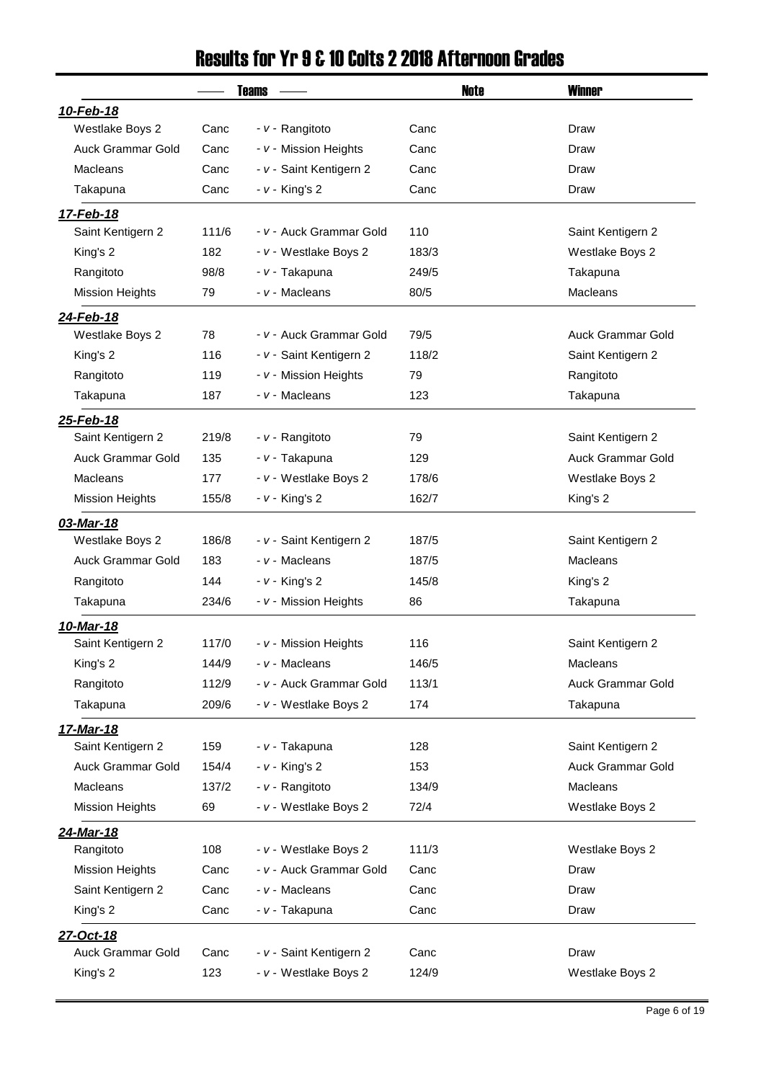#### Results for Yr 9 & 10 Colts 2 2018 Afternoon Grades

|                               |             | <b>Teams</b>                                     | <b>Note</b>   | <b>Winner</b>            |
|-------------------------------|-------------|--------------------------------------------------|---------------|--------------------------|
| 10-Feb-18                     |             |                                                  |               |                          |
| Westlake Boys 2               | Canc        | - v - Rangitoto                                  | Canc          | Draw                     |
| <b>Auck Grammar Gold</b>      | Canc        | - v - Mission Heights                            | Canc          | Draw                     |
| Macleans                      | Canc        | - v - Saint Kentigern 2                          | Canc          | Draw                     |
| Takapuna                      | Canc        | $- v -$ King's 2                                 | Canc          | Draw                     |
| 17-Feb-18                     |             |                                                  |               |                          |
| Saint Kentigern 2             | 111/6       | - v - Auck Grammar Gold                          | 110           | Saint Kentigern 2        |
| King's 2                      | 182         | - v - Westlake Boys 2                            | 183/3         | Westlake Boys 2          |
| Rangitoto                     | 98/8        | - v - Takapuna                                   | 249/5         | Takapuna                 |
| <b>Mission Heights</b>        | 79          | - v - Macleans                                   | 80/5          | Macleans                 |
| 24-Feb-18                     |             |                                                  |               |                          |
| Westlake Boys 2               | 78          | - v - Auck Grammar Gold                          | 79/5          | <b>Auck Grammar Gold</b> |
| King's 2                      | 116         | - v - Saint Kentigern 2                          | 118/2         | Saint Kentigern 2        |
| Rangitoto                     | 119         | - v - Mission Heights                            | 79            | Rangitoto                |
| Takapuna                      | 187         | - v - Macleans                                   | 123           | Takapuna                 |
| 25-Feb-18                     |             |                                                  |               |                          |
| Saint Kentigern 2             | 219/8       | - v - Rangitoto                                  | 79            | Saint Kentigern 2        |
| <b>Auck Grammar Gold</b>      | 135         | - v - Takapuna                                   | 129           | Auck Grammar Gold        |
| Macleans                      | 177         | - v - Westlake Boys 2                            | 178/6         | Westlake Boys 2          |
| <b>Mission Heights</b>        | 155/8       | $- v -$ King's 2                                 | 162/7         | King's 2                 |
| 03-Mar-18                     |             |                                                  |               |                          |
| Westlake Boys 2               | 186/8       | - v - Saint Kentigern 2                          | 187/5         | Saint Kentigern 2        |
| Auck Grammar Gold             | 183         | - v - Macleans                                   | 187/5         | <b>Macleans</b>          |
| Rangitoto                     | 144         | $- v -$ King's 2                                 | 145/8         | King's 2                 |
| Takapuna                      | 234/6       | - v - Mission Heights                            | 86            | Takapuna                 |
| 10-Mar-18                     |             |                                                  |               |                          |
| Saint Kentigern 2             | 117/0       | - v - Mission Heights                            | 116           | Saint Kentigern 2        |
| King's 2                      | 144/9       | - v - Macleans                                   | 146/5         | <b>Macleans</b>          |
| Rangitoto                     | 112/9       | - v - Auck Grammar Gold                          | 113/1         | <b>Auck Grammar Gold</b> |
| Takapuna                      | 209/6       | - v - Westlake Boys 2                            | 174           | Takapuna                 |
| 17-Mar-18                     |             |                                                  |               |                          |
| Saint Kentigern 2             | 159         | - v - Takapuna                                   | 128           | Saint Kentigern 2        |
| <b>Auck Grammar Gold</b>      | 154/4       | $- v -$ King's 2                                 | 153           | Auck Grammar Gold        |
| Macleans                      | 137/2       | - v - Rangitoto                                  | 134/9         | Macleans                 |
| <b>Mission Heights</b>        | 69          | - v - Westlake Boys 2                            | 72/4          | Westlake Boys 2          |
| 24-Mar-18                     |             |                                                  |               |                          |
| Rangitoto                     | 108         | - v - Westlake Boys 2                            | 111/3         | Westlake Boys 2          |
| <b>Mission Heights</b>        | Canc        | - v - Auck Grammar Gold                          | Canc          | Draw                     |
| Saint Kentigern 2             | Canc        | - v - Macleans                                   | Canc          | Draw                     |
| King's 2                      | Canc        | - v - Takapuna                                   | Canc          | Draw                     |
|                               |             |                                                  |               |                          |
| 27-Oct-18                     |             |                                                  |               |                          |
|                               |             |                                                  |               |                          |
| Auck Grammar Gold<br>King's 2 | Canc<br>123 | - v - Saint Kentigern 2<br>- v - Westlake Boys 2 | Canc<br>124/9 | Draw<br>Westlake Boys 2  |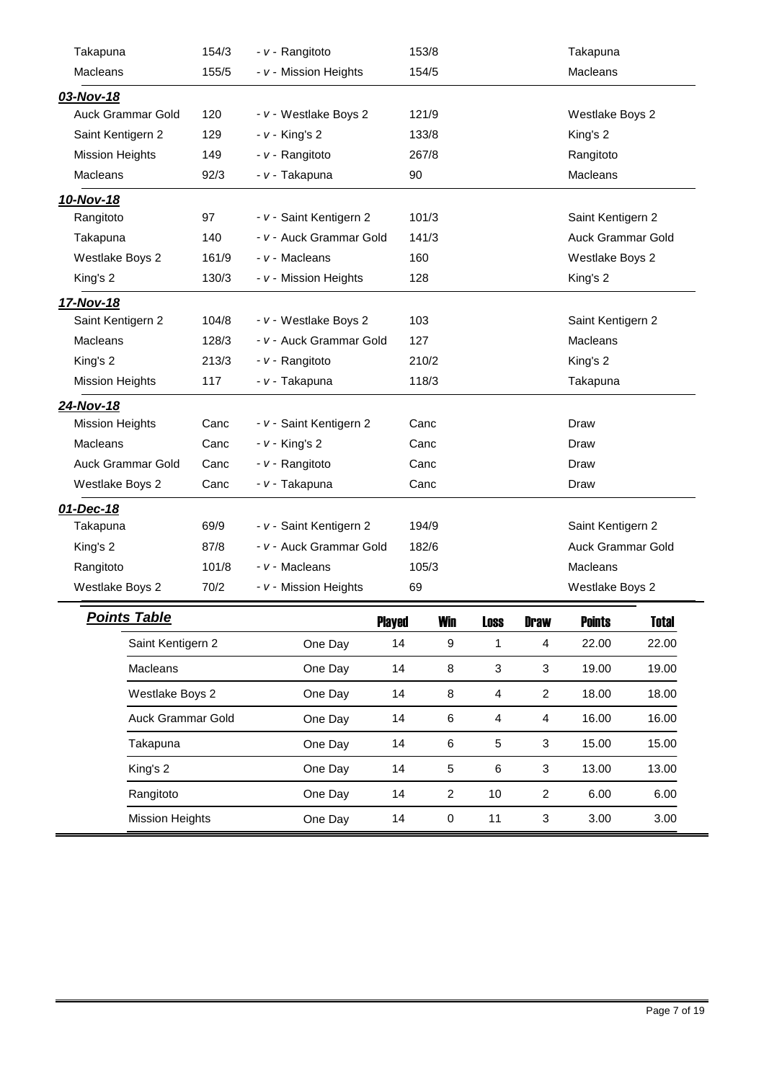| Takapuna               | 154/3 | - v - Rangitoto         |               | 153/8            |                           |                           | Takapuna          |              |  |
|------------------------|-------|-------------------------|---------------|------------------|---------------------------|---------------------------|-------------------|--------------|--|
| <b>Macleans</b>        | 155/5 | - v - Mission Heights   |               | 154/5            |                           |                           | Macleans          |              |  |
| 03-Nov-18              |       |                         |               |                  |                           |                           |                   |              |  |
| Auck Grammar Gold      | 120   | - v - Westlake Boys 2   |               | 121/9            |                           |                           | Westlake Boys 2   |              |  |
| Saint Kentigern 2      | 129   | <i>- v -</i> King's 2   |               | 133/8            |                           |                           | King's 2          |              |  |
| Mission Heights        | 149   | - v - Rangitoto         |               | 267/8            |                           |                           | Rangitoto         |              |  |
| <b>Macleans</b>        | 92/3  | - v - Takapuna          | 90            |                  |                           |                           | <b>Macleans</b>   |              |  |
| 10-Nov-18              |       |                         |               |                  |                           |                           |                   |              |  |
| Rangitoto              | 97    | - v - Saint Kentigern 2 |               | 101/3            |                           |                           | Saint Kentigern 2 |              |  |
| Takapuna               | 140   | - v - Auck Grammar Gold |               | 141/3            |                           |                           | Auck Grammar Gold |              |  |
| Westlake Boys 2        | 161/9 | - v - Macleans          |               | 160              |                           |                           | Westlake Boys 2   |              |  |
| King's 2               | 130/3 | - v - Mission Heights   |               | 128              |                           |                           | King's 2          |              |  |
| 17-Nov-18              |       |                         |               |                  |                           |                           |                   |              |  |
| Saint Kentigern 2      | 104/8 | - v - Westlake Boys 2   |               | 103              |                           |                           | Saint Kentigern 2 |              |  |
| <b>Macleans</b>        | 128/3 | - v - Auck Grammar Gold |               | 127              |                           | <b>Macleans</b>           |                   |              |  |
| King's 2               | 213/3 | - v - Rangitoto         |               | 210/2            |                           |                           | King's 2          |              |  |
| Mission Heights        | 117   | - v - Takapuna          |               | 118/3            |                           |                           | Takapuna          |              |  |
| 24-Nov-18              |       |                         |               |                  |                           |                           |                   |              |  |
| <b>Mission Heights</b> | Canc  | - v - Saint Kentigern 2 |               | Canc             |                           |                           | Draw              |              |  |
| <b>Macleans</b>        | Canc  | <i>- v -</i> King's 2   |               | Canc             |                           |                           | Draw              |              |  |
| Auck Grammar Gold      | Canc  | - v - Rangitoto         |               | Canc             |                           |                           | Draw              |              |  |
| Westlake Boys 2        | Canc  | - v - Takapuna          |               | Canc             |                           |                           | Draw              |              |  |
| 01-Dec-18              |       |                         |               |                  |                           |                           |                   |              |  |
| Takapuna               | 69/9  | - v - Saint Kentigern 2 |               | 194/9            |                           |                           | Saint Kentigern 2 |              |  |
| King's 2               | 87/8  | - v - Auck Grammar Gold |               | 182/6            |                           |                           | Auck Grammar Gold |              |  |
| Rangitoto              | 101/8 | - v - Macleans          |               | 105/3            |                           |                           | <b>Macleans</b>   |              |  |
| Westlake Boys 2        | 70/2  | - v - Mission Heights   | 69            |                  |                           |                           | Westlake Boys 2   |              |  |
| <b>Points Table</b>    |       |                         | <b>Played</b> | <b>Win</b>       | <b>Loss</b>               | <b>Draw</b>               | <b>Points</b>     | <b>Total</b> |  |
| Saint Kentigern 2      |       | One Day                 | 14            | $\boldsymbol{9}$ | $\mathbf{1}$              | 4                         | 22.00             | 22.00        |  |
| <b>Macleans</b>        |       | One Day                 | 14            | $\bf8$           | $\ensuremath{\mathsf{3}}$ | $\ensuremath{\mathsf{3}}$ | 19.00             | 19.00        |  |
| Westlake Boys 2        |       | One Day                 | 14            | 8                | 4                         | $\overline{c}$            | 18.00             | 18.00        |  |
|                        |       |                         |               |                  |                           |                           |                   |              |  |

Auck Grammar Gold **One Day** 14 6 4 4 16.00 16.00

Takapuna One Day 14 6 5 3 15.00 15.00 King's 2 One Day 14 5 6 3 13.00 13.00 Rangitoto One Day 14 2 10 2 6.00 6.00 Mission Heights **One Day** 14 0 11 3 3.00 3.00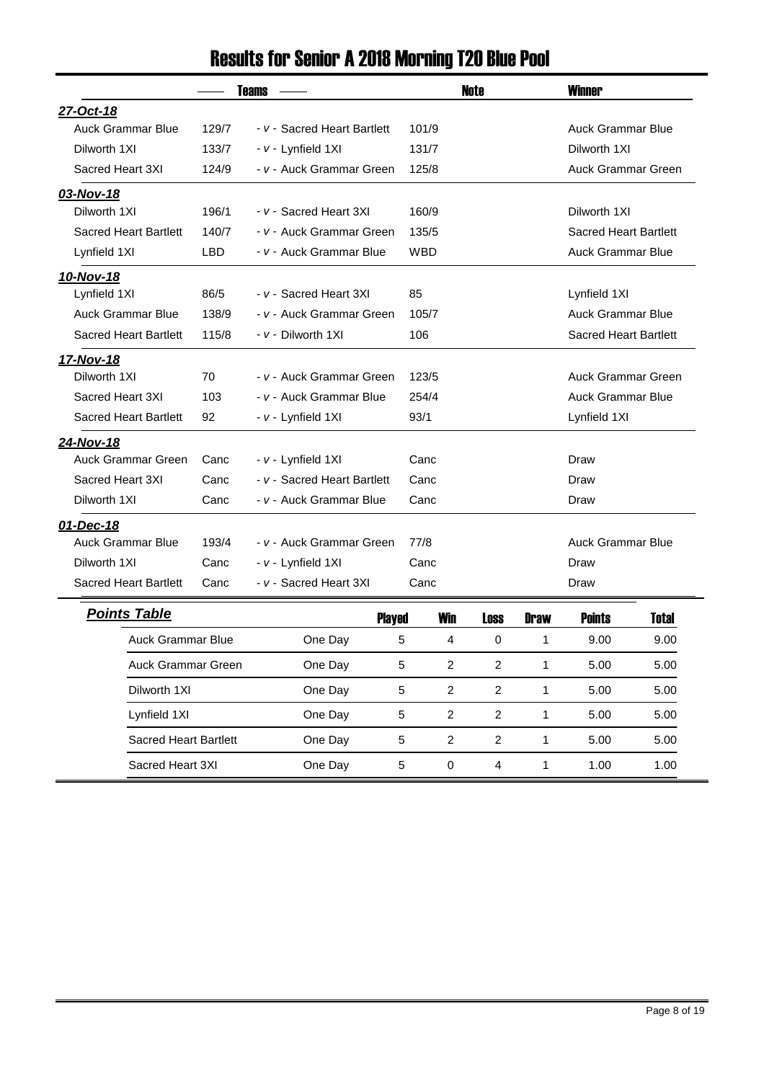# Results for Senior A 2018 Morning T20 Blue Pool

| <b>Teams</b>                 |            |                             | <b>Note</b>  | <b>Winner</b>                  |
|------------------------------|------------|-----------------------------|--------------|--------------------------------|
| 27-Oct-18                    |            |                             |              |                                |
| <b>Auck Grammar Blue</b>     | 129/7      | - v - Sacred Heart Bartlett | 101/9        | <b>Auck Grammar Blue</b>       |
| Dilworth 1XI                 | 133/7      | - v - Lynfield 1XI          | 131/7        | Dilworth 1XI                   |
| Sacred Heart 3XI             | 124/9      | - v - Auck Grammar Green    | 125/8        | <b>Auck Grammar Green</b>      |
| 03-Nov-18                    |            |                             |              |                                |
| Dilworth 1XI                 | 196/1      | - v - Sacred Heart 3XI      | 160/9        | Dilworth 1XI                   |
| <b>Sacred Heart Bartlett</b> | 140/7      | - v - Auck Grammar Green    | 135/5        | <b>Sacred Heart Bartlett</b>   |
| Lynfield 1XI                 | <b>LBD</b> | - v - Auck Grammar Blue     | <b>WBD</b>   | Auck Grammar Blue              |
| 10-Nov-18                    |            |                             |              |                                |
| Lynfield 1XI                 | 86/5       | - v - Sacred Heart 3XI      | 85           | Lynfield 1XI                   |
| <b>Auck Grammar Blue</b>     | 138/9      | - v - Auck Grammar Green    | 105/7        | <b>Auck Grammar Blue</b>       |
| <b>Sacred Heart Bartlett</b> | 115/8      | - v - Dilworth 1XI          | 106          | <b>Sacred Heart Bartlett</b>   |
| 17-Nov-18                    |            |                             |              |                                |
| Dilworth 1XI                 | 70         | - v - Auck Grammar Green    | 123/5        | <b>Auck Grammar Green</b>      |
| Sacred Heart 3XI             | 103        | - v - Auck Grammar Blue     | 254/4        | <b>Auck Grammar Blue</b>       |
| <b>Sacred Heart Bartlett</b> | 92         | - v - Lynfield 1XI          | 93/1         | Lynfield 1XI                   |
| 24-Nov-18                    |            |                             |              |                                |
| <b>Auck Grammar Green</b>    | Canc       | - v - Lynfield 1XI          | Canc         | Draw                           |
| Sacred Heart 3XI             | Canc       | - v - Sacred Heart Bartlett | Canc         | Draw                           |
| Dilworth 1XI                 | Canc       | - v - Auck Grammar Blue     | Canc         | Draw                           |
| 01-Dec-18                    |            |                             |              |                                |
| <b>Auck Grammar Blue</b>     | 193/4      | - v - Auck Grammar Green    | 77/8         | <b>Auck Grammar Blue</b>       |
| Dilworth 1XI                 | Canc       | - v - Lynfield 1XI          | Canc         | Draw                           |
| <b>Sacred Heart Bartlett</b> | Canc       | - v - Sacred Heart 3XI      | Canc         | Draw                           |
| <b>Points Table</b>          |            | <b>Diovod</b>               | Win<br>l nnn | <b>Dnow</b><br>Nointo<br>Totol |

| <b>Points Table</b>   |         | <b>Played</b> | Win      | Loss           | <b>Draw</b> | <b>Points</b> | <b>Total</b> |
|-----------------------|---------|---------------|----------|----------------|-------------|---------------|--------------|
| Auck Grammar Blue     | One Day | 5             | 4        | 0              |             | 9.00          | 9.00         |
| Auck Grammar Green    | One Day | 5             | 2        | 2              |             | 5.00          | 5.00         |
| Dilworth 1XI          | One Day | 5             | 2        | 2              |             | 5.00          | 5.00         |
| Lynfield 1XI          | One Day | 5             | 2        | $\mathfrak{p}$ |             | 5.00          | 5.00         |
| Sacred Heart Bartlett | One Day | 5             | 2        | 2              |             | 5.00          | 5.00         |
| Sacred Heart 3XI      | One Day | 5             | $\Omega$ | 4              |             | 1.00          | 1.00         |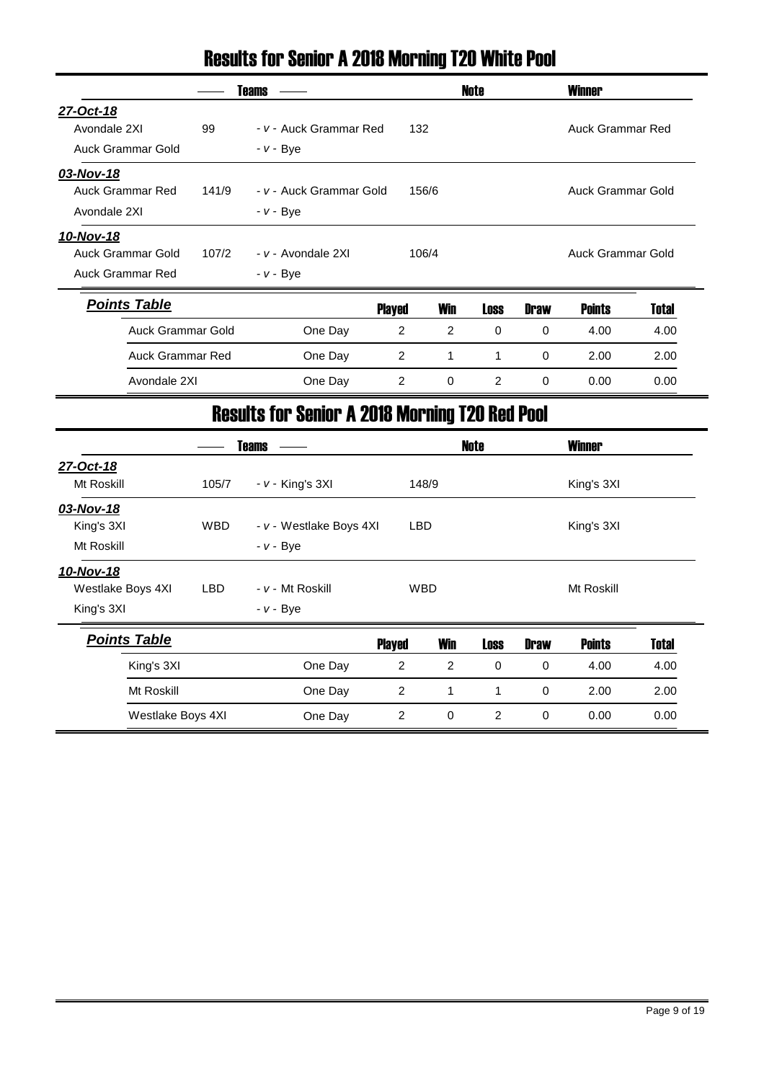#### Results for Senior A 2018 Morning T20 White Pool

|                          |       | <b>Teams</b>            |        |             | Note        |             | <b>Winner</b>     |       |  |
|--------------------------|-------|-------------------------|--------|-------------|-------------|-------------|-------------------|-------|--|
| 27-Oct-18                |       |                         |        |             |             |             |                   |       |  |
| Avondale 2XI             | 99    | - v - Auck Grammar Red  | 132    |             |             |             | Auck Grammar Red  |       |  |
| Auck Grammar Gold        |       | $- v - Bve$             |        |             |             |             |                   |       |  |
| 03-Nov-18                |       |                         |        |             |             |             |                   |       |  |
| <b>Auck Grammar Red</b>  | 141/9 | - v - Auck Grammar Gold |        | 156/6       |             |             | Auck Grammar Gold |       |  |
| Avondale 2XI             |       | - <i>v</i> - Bye        |        |             |             |             |                   |       |  |
| 10-Nov-18                |       |                         |        |             |             |             |                   |       |  |
| Auck Grammar Gold        | 107/2 | - v - Avondale 2XI      |        | 106/4       |             |             | Auck Grammar Gold |       |  |
| Auck Grammar Red         |       | - <i>v</i> - Bye        |        |             |             |             |                   |       |  |
| <b>Points Table</b>      |       |                         | Played | Win         | <b>Loss</b> | <b>Draw</b> | <b>Points</b>     | Total |  |
| <b>Auck Grammar Gold</b> |       | One Day                 | 2      | 2           | $\mathbf 0$ | $\Omega$    | 4.00              | 4.00  |  |
| <b>Auck Grammar Red</b>  |       | One Day                 | 2      | 1           | 1           | $\Omega$    | 2.00              | 2.00  |  |
| Avondale 2XI             |       | One Day                 | 2      | $\mathbf 0$ | 2           | $\Omega$    | 0.00              | 0.00  |  |

### Results for Senior A 2018 Morning T20 Red Pool

|                     |            | <b>Teams</b>            |                |                | Note        |             | <b>Winner</b> |              |
|---------------------|------------|-------------------------|----------------|----------------|-------------|-------------|---------------|--------------|
| 27-Oct-18           |            |                         |                |                |             |             |               |              |
| Mt Roskill          | 105/7      | $- v -$ King's 3XI      |                | 148/9          |             |             | King's 3XI    |              |
| 03-Nov-18           |            |                         |                |                |             |             |               |              |
| King's 3XI          | <b>WBD</b> | - v - Westlake Boys 4XI |                | <b>LBD</b>     |             |             | King's 3XI    |              |
| Mt Roskill          |            | $- v - Bye$             |                |                |             |             |               |              |
| 10-Nov-18           |            |                         |                |                |             |             |               |              |
| Westlake Boys 4XI   | <b>LBD</b> | - v - Mt Roskill        |                | <b>WBD</b>     |             |             | Mt Roskill    |              |
| King's 3XI          |            | $- v - Bye$             |                |                |             |             |               |              |
| <b>Points Table</b> |            |                         | <b>Played</b>  | <b>Win</b>     | <b>Loss</b> | <b>Draw</b> | <b>Points</b> | <b>Total</b> |
| King's 3XI          |            | One Day                 | $\overline{2}$ | $\overline{c}$ | $\mathbf 0$ | $\mathbf 0$ | 4.00          | 4.00         |
| Mt Roskill          |            | One Day                 | $\overline{2}$ | 1              | 1           | 0           | 2.00          | 2.00         |
| Westlake Boys 4XI   |            | One Day                 | $\overline{2}$ | 0              | 2           | 0           | 0.00          | 0.00         |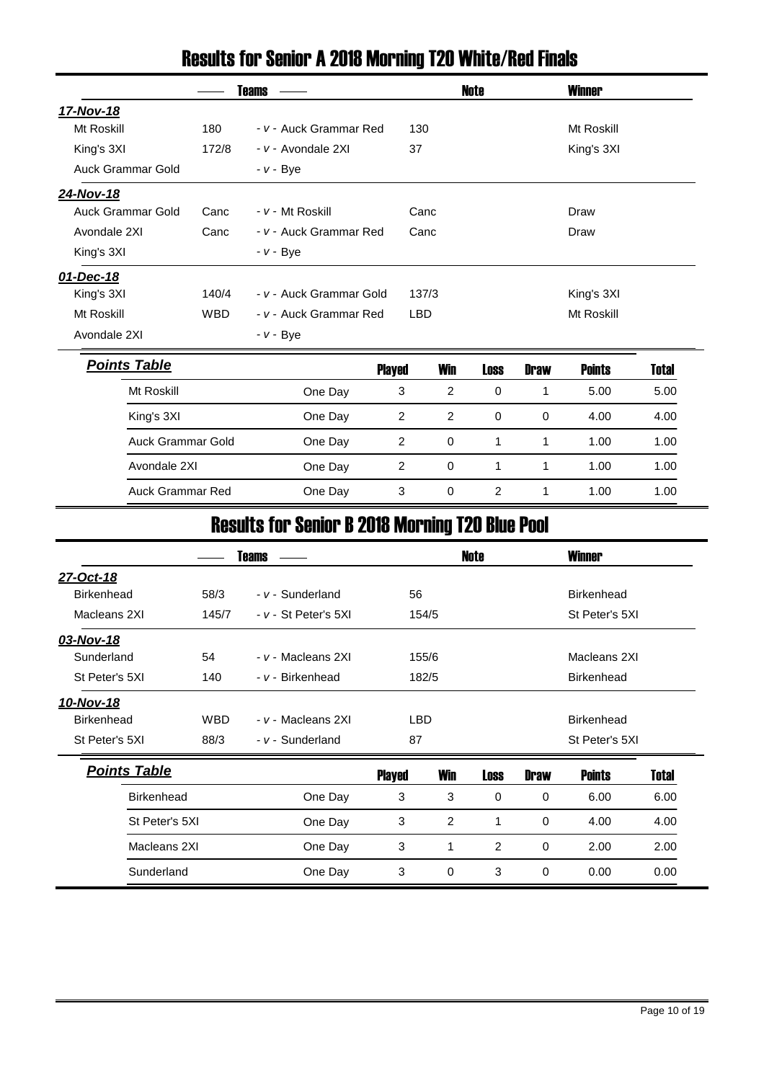# Results for Senior A 2018 Morning T20 White/Red Finals

|                          |            | <b>Teams</b>            |                |             | Note           |             |               |              |
|--------------------------|------------|-------------------------|----------------|-------------|----------------|-------------|---------------|--------------|
| 17-Nov-18                |            |                         |                |             |                |             |               |              |
| Mt Roskill               | 180        | - v - Auck Grammar Red  | 130            |             |                |             | Mt Roskill    |              |
| King's 3XI               | 172/8      | - v - Avondale 2XI      | 37             |             |                |             | King's 3XI    |              |
| Auck Grammar Gold        |            | $- v - Bye$             |                |             |                |             |               |              |
| 24-Nov-18                |            |                         |                |             |                |             |               |              |
| <b>Auck Grammar Gold</b> | Canc       | - v - Mt Roskill        |                | Canc        |                |             | Draw          |              |
| Avondale 2XI             | Canc       | - v - Auck Grammar Red  |                | Canc        |                |             | Draw          |              |
| King's 3XI               |            | $- v - Bye$             |                |             |                |             |               |              |
| 01-Dec-18                |            |                         |                |             |                |             |               |              |
| King's 3XI               | 140/4      | - v - Auck Grammar Gold |                | 137/3       |                |             | King's 3XI    |              |
| Mt Roskill               | <b>WBD</b> | - v - Auck Grammar Red  | <b>LBD</b>     |             |                |             | Mt Roskill    |              |
| Avondale 2XI             |            | $- v - Bye$             |                |             |                |             |               |              |
| <b>Points Table</b>      |            |                         | <b>Played</b>  | <b>Win</b>  | <b>Loss</b>    | <b>Draw</b> | <b>Points</b> | <b>Total</b> |
| Mt Roskill               |            | One Day                 | 3              | 2           | 0              | 1           | 5.00          | 5.00         |
| King's 3XI               |            | One Day                 | $\overline{c}$ | 2           | $\mathbf 0$    | 0           | 4.00          | 4.00         |
| <b>Auck Grammar Gold</b> |            | One Day                 | $\overline{c}$ | 0           | 1              | 1           | 1.00          | 1.00         |
| Avondale 2XI             |            | One Day                 | $\overline{c}$ | $\mathbf 0$ | $\mathbf 1$    | 1           | 1.00          | 1.00         |
| <b>Auck Grammar Red</b>  |            | One Day                 | 3              | $\pmb{0}$   | $\overline{c}$ | 1           | 1.00          | 1.00         |

### Results for Senior B 2018 Morning T20 Blue Pool

|                     |                         | Teams                |               |                | Note        |                   | <b>Winner</b>     |       |  |  |  |
|---------------------|-------------------------|----------------------|---------------|----------------|-------------|-------------------|-------------------|-------|--|--|--|
| 27-Oct-18           |                         |                      |               |                |             |                   |                   |       |  |  |  |
| <b>Birkenhead</b>   | 58/3                    | - v - Sunderland     |               | 56             |             |                   | <b>Birkenhead</b> |       |  |  |  |
| Macleans 2XI        | 145/7                   | - v - St Peter's 5XI | 154/5         |                |             |                   | St Peter's 5XI    |       |  |  |  |
| 03-Nov-18           |                         |                      |               |                |             |                   |                   |       |  |  |  |
| Sunderland          | 54                      | - v - Macleans 2XI   | 155/6         |                |             | Macleans 2XI      |                   |       |  |  |  |
| St Peter's 5XI      | 140                     | - v - Birkenhead     |               | 182/5          |             | <b>Birkenhead</b> |                   |       |  |  |  |
| 10-Nov-18           |                         |                      |               |                |             |                   |                   |       |  |  |  |
| <b>Birkenhead</b>   | <b>WBD</b>              | - v - Macleans 2XI   | LBD           |                |             |                   | <b>Birkenhead</b> |       |  |  |  |
| St Peter's 5XI      | 88/3                    | - v - Sunderland     | 87            |                |             |                   | St Peter's 5XI    |       |  |  |  |
| <b>Points Table</b> |                         |                      | <b>Played</b> | <b>Win</b>     | <b>Loss</b> | <b>Draw</b>       | <b>Points</b>     | Total |  |  |  |
| <b>Birkenhead</b>   |                         | One Day              | 3             | 3              | 0           | 0                 | 6.00              | 6.00  |  |  |  |
| St Peter's 5XI      |                         | One Day              | 3             | $\overline{2}$ | 1           | 0<br>4.00         |                   | 4.00  |  |  |  |
|                     | Macleans 2XI<br>One Day |                      | 3             | 1              | 2           | 0                 | 2.00              | 2.00  |  |  |  |
| Sunderland          |                         | One Day              | 3             | 0              | 3           | $\mathbf 0$       | 0.00              | 0.00  |  |  |  |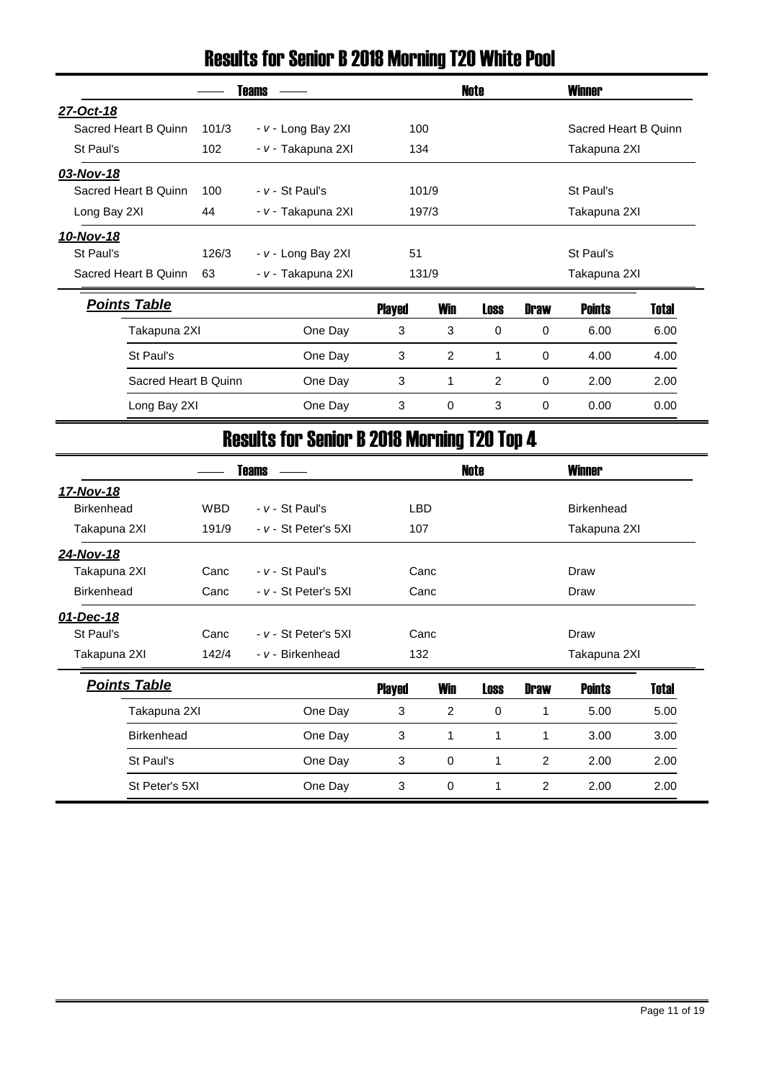### Results for Senior B 2018 Morning T20 White Pool

|                      |       | <b>Teams</b>       |               |            | Note        |              | <b>Winner</b>        |              |  |
|----------------------|-------|--------------------|---------------|------------|-------------|--------------|----------------------|--------------|--|
| 27-Oct-18            |       |                    |               |            |             |              |                      |              |  |
| Sacred Heart B Quinn | 101/3 | - v - Long Bay 2XI | 100           |            |             |              | Sacred Heart B Quinn |              |  |
| St Paul's            | 102   | - v - Takapuna 2XI | 134           |            |             |              | Takapuna 2XI         |              |  |
| 03-Nov-18            |       |                    |               |            |             |              |                      |              |  |
| Sacred Heart B Quinn | 100   | $- v - St$ Paul's  |               | 101/9      |             |              | St Paul's            |              |  |
| Long Bay 2XI         | 44    | - v - Takapuna 2XI |               | 197/3      |             | Takapuna 2XI |                      |              |  |
| 10-Nov-18            |       |                    |               |            |             |              |                      |              |  |
| St Paul's            | 126/3 | - v - Long Bay 2XI | 51            |            |             |              | St Paul's            |              |  |
| Sacred Heart B Quinn | 63    | - v - Takapuna 2XI |               | 131/9      |             |              | Takapuna 2XI         |              |  |
| <b>Points Table</b>  |       |                    | <b>Played</b> | <b>Win</b> | <b>Loss</b> | <b>Draw</b>  | <b>Points</b>        | <b>Total</b> |  |
| Takapuna 2XI         |       | One Day            | 3             | 3          | 0           | 0            | 6.00                 | 6.00         |  |
| St Paul's            |       | One Day            | 3             | 2          | 1           | 0            | 4.00                 | 4.00         |  |
| Sacred Heart B Quinn |       | One Day            | 3             | 1          | 2           | 0            | 2.00                 | 2.00         |  |
| Long Bay 2XI         |       | One Day            | 3             | 0          | 3           | 0            | 0.00                 |              |  |

### Results for Senior B 2018 Morning T20 Top 4

|                     |                           | <b>Teams</b>             |                     |            | <b>Note</b> |                   | <b>Winner</b>     |       |  |
|---------------------|---------------------------|--------------------------|---------------------|------------|-------------|-------------------|-------------------|-------|--|
| 17-Nov-18           |                           |                          |                     |            |             |                   |                   |       |  |
| <b>Birkenhead</b>   | <b>WBD</b>                | $- v - St$ Paul's        | <b>LBD</b>          |            |             |                   | <b>Birkenhead</b> |       |  |
| Takapuna 2XI        | 191/9                     | - v - St Peter's 5XI     | 107<br>Takapuna 2XI |            |             |                   |                   |       |  |
| 24-Nov-18           |                           |                          |                     |            |             |                   |                   |       |  |
| Takapuna 2XI        | Canc                      | $- v - St$ Paul's        |                     | Canc       |             |                   | Draw              |       |  |
| <b>Birkenhead</b>   | Canc                      | - v - St Peter's 5XI     | Canc                |            | Draw        |                   |                   |       |  |
| 01-Dec-18           |                           |                          |                     |            |             |                   |                   |       |  |
| St Paul's           | Canc                      | $- v - St$ Peter's $5XI$ |                     | Canc       |             | Draw              |                   |       |  |
| Takapuna 2XI        | 142/4                     | - v - Birkenhead         | 132                 |            |             |                   | Takapuna 2XI      |       |  |
| <b>Points Table</b> |                           |                          | <b>Played</b>       | <b>Win</b> | <b>Loss</b> | <b>Draw</b>       | <b>Points</b>     | Total |  |
| Takapuna 2XI        |                           | One Day                  | 3                   | 2          | 0           | 1                 | 5.00              | 5.00  |  |
| <b>Birkenhead</b>   |                           | One Day                  | 3                   | 1          | 1           | 1<br>3.00         |                   | 3.00  |  |
| St Paul's           |                           | One Day                  | $\sqrt{3}$          | 0          | 1           | 2<br>2.00<br>2.00 |                   |       |  |
|                     | St Peter's 5XI<br>One Day |                          | 3                   | 0          |             | 2                 | 2.00              | 2.00  |  |
|                     |                           |                          |                     |            |             |                   |                   |       |  |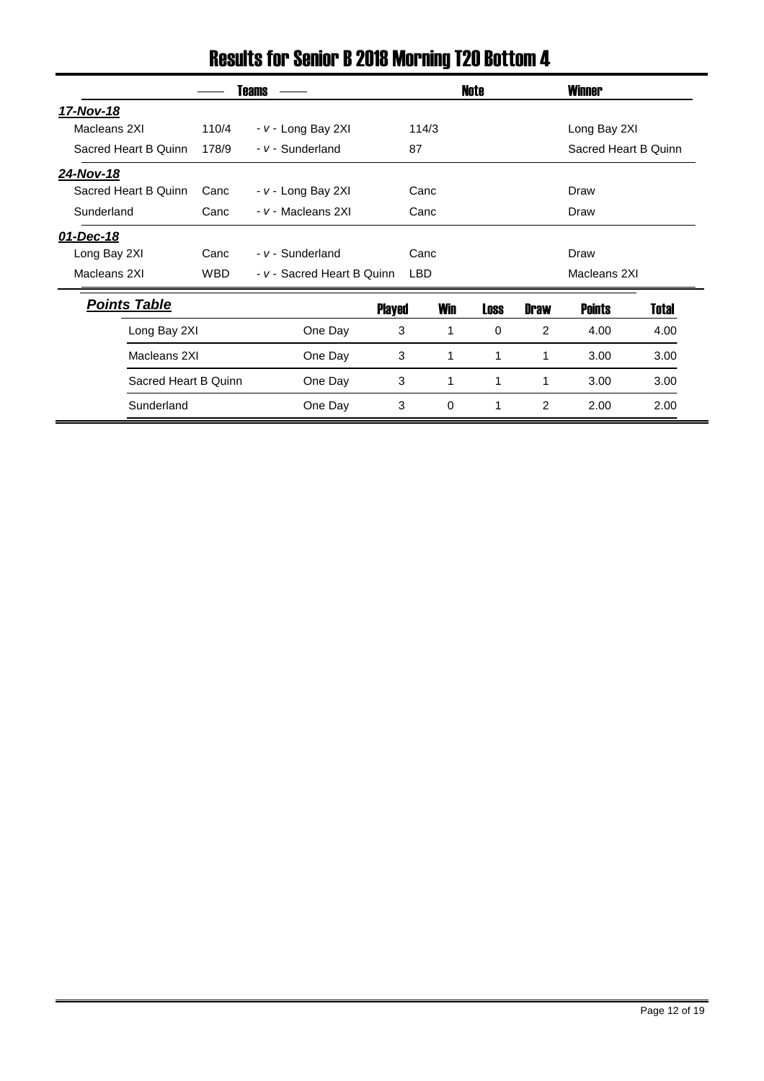### Results for Senior B 2018 Morning T20 Bottom 4

|                      |            | Teams                      |        |            | Note |                | <b>Winner</b>        |       |
|----------------------|------------|----------------------------|--------|------------|------|----------------|----------------------|-------|
| 17-Nov-18            |            |                            |        |            |      |                |                      |       |
| Macleans 2XI         | 110/4      | - v - Long Bay 2XI         |        | 114/3      |      |                | Long Bay 2XI         |       |
| Sacred Heart B Quinn | 178/9      | - v - Sunderland           |        | 87         |      |                | Sacred Heart B Quinn |       |
| 24-Nov-18            |            |                            |        |            |      |                |                      |       |
| Sacred Heart B Quinn | Canc       | - v - Long Bay 2XI         |        | Canc       |      |                | Draw                 |       |
| Sunderland           | Canc       | - v - Macleans 2XI         |        | Canc       |      |                | Draw                 |       |
| 01-Dec-18            |            |                            |        |            |      |                |                      |       |
| Long Bay 2XI         | Canc       | - v - Sunderland           |        | Canc       |      |                | Draw                 |       |
| Macleans 2XI         | <b>WBD</b> | - v - Sacred Heart B Quinn |        | <b>LBD</b> |      |                | Macleans 2XI         |       |
| <b>Points Table</b>  |            |                            | Played | Win        | Loss | <b>Draw</b>    | Points               | Total |
| Long Bay 2XI         |            | One Day                    | 3      | 1          | 0    | $\overline{2}$ | 4.00                 | 4.00  |
| Macleans 2XI         |            | One Day                    | 3      | 1          | 1    | 1              | 3.00                 | 3.00  |
| Sacred Heart B Quinn |            | One Day                    | 3      | 1          | 1    | 1              | 3.00                 | 3.00  |
| Sunderland           |            | One Day                    | 3      | 0          | 1    | 2              | 2.00                 | 2.00  |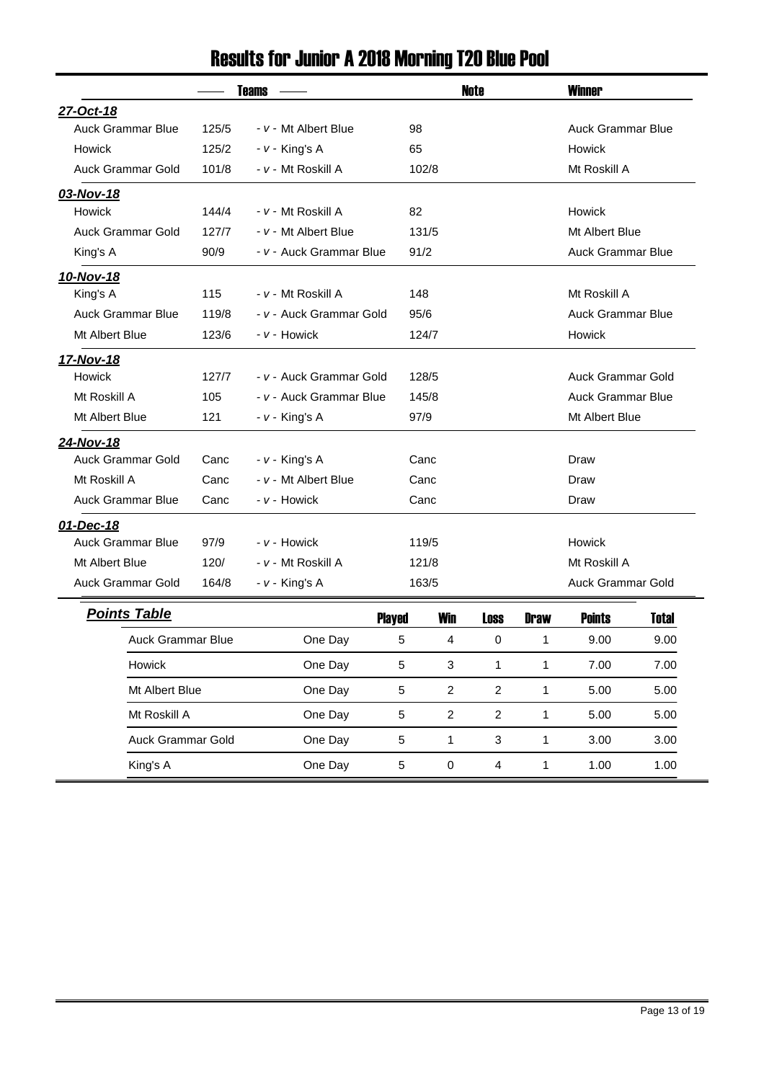# Results for Junior A 2018 Morning T20 Blue Pool

|                          |                                | Teams                     |                |                | <b>Note</b>                          |                | <b>Winner</b>            |              |
|--------------------------|--------------------------------|---------------------------|----------------|----------------|--------------------------------------|----------------|--------------------------|--------------|
| 27-Oct-18                |                                |                           |                |                |                                      |                |                          |              |
| <b>Auck Grammar Blue</b> | 125/5                          | - v - Mt Albert Blue      | 98             |                |                                      |                | <b>Auck Grammar Blue</b> |              |
| <b>Howick</b>            | 125/2                          | - v - King's A            | 65             |                |                                      |                | Howick                   |              |
| <b>Auck Grammar Gold</b> | 101/8                          | - v - Mt Roskill A        | 102/8          |                | Mt Roskill A                         |                |                          |              |
| 03-Nov-18                |                                |                           |                |                |                                      |                |                          |              |
| Howick                   | 144/4                          | - v - Mt Roskill A        | 82             |                |                                      |                | Howick                   |              |
| Auck Grammar Gold        | 127/7                          | - v - Mt Albert Blue      |                | 131/5          |                                      |                | Mt Albert Blue           |              |
| King's A                 | 90/9                           | - v - Auck Grammar Blue   | 91/2           |                | <b>Auck Grammar Blue</b>             |                |                          |              |
| 10-Nov-18                |                                |                           |                |                |                                      |                |                          |              |
| King's A                 | 115                            | <i>- v -</i> Mt Roskill A | 148            |                |                                      |                | Mt Roskill A             |              |
| <b>Auck Grammar Blue</b> | 119/8                          | - v - Auck Grammar Gold   | 95/6           |                |                                      |                | <b>Auck Grammar Blue</b> |              |
| Mt Albert Blue           | 123/6                          | - v - Howick              |                | 124/7          |                                      |                | Howick                   |              |
| 17-Nov-18                |                                |                           |                |                |                                      |                |                          |              |
| Howick                   | 127/7                          | - v - Auck Grammar Gold   |                | 128/5          |                                      |                | <b>Auck Grammar Gold</b> |              |
| Mt Roskill A             | 105                            | - v - Auck Grammar Blue   | 145/8          |                | Auck Grammar Blue                    |                |                          |              |
| Mt Albert Blue           | 121                            | - v - King's A            |                | 97/9           |                                      | Mt Albert Blue |                          |              |
| 24-Nov-18                |                                |                           |                |                |                                      |                |                          |              |
| <b>Auck Grammar Gold</b> | Canc                           | - v - King's A            |                | Canc           |                                      |                | Draw                     |              |
| Mt Roskill A             | Canc                           | - v - Mt Albert Blue      |                | Canc           |                                      |                | Draw                     |              |
| <b>Auck Grammar Blue</b> | Canc                           | - v - Howick              |                | Canc           |                                      |                | Draw                     |              |
| 01-Dec-18                |                                |                           |                |                |                                      |                |                          |              |
| <b>Auck Grammar Blue</b> | 97/9                           | - v - Howick              |                | 119/5          |                                      |                | Howick                   |              |
| Mt Albert Blue           | 120/                           | <i>- v -</i> Mt Roskill A |                | 121/8          |                                      |                | Mt Roskill A             |              |
| Auck Grammar Gold        | 164/8                          | $- v -$ King's A          |                | 163/5          |                                      |                | <b>Auck Grammar Gold</b> |              |
| <b>Points Table</b>      |                                |                           | <b>Played</b>  | <b>Win</b>     | <b>Loss</b>                          | Draw           | <b>Points</b>            | <b>Total</b> |
| <b>Auck Grammar Blue</b> |                                | One Day                   | 5              | 4              | 0                                    | 1              | 9.00                     | 9.00         |
| Howick                   |                                | One Day                   | 5              | $\sqrt{3}$     | 1                                    | $\mathbf 1$    | 7.00                     | 7.00         |
| Mt Albert Blue           | One Day<br>5<br>$\overline{2}$ |                           | $\overline{2}$ | $\mathbf{1}$   | 5.00                                 | 5.00           |                          |              |
| Mt Roskill A             | One Day                        |                           | 5              | $\overline{c}$ | $\overline{c}$                       | 1              | 5.00                     | 5.00         |
| Auck Grammar Gold        |                                | One Day                   | 5              | $\mathbf{1}$   | $\mathbf{3}$<br>$\mathbf{1}$<br>3.00 |                |                          | 3.00         |
| King's A                 |                                | One Day                   | 5              | $\pmb{0}$      | $\overline{4}$                       | $\mathbf{1}$   | 1.00                     | 1.00         |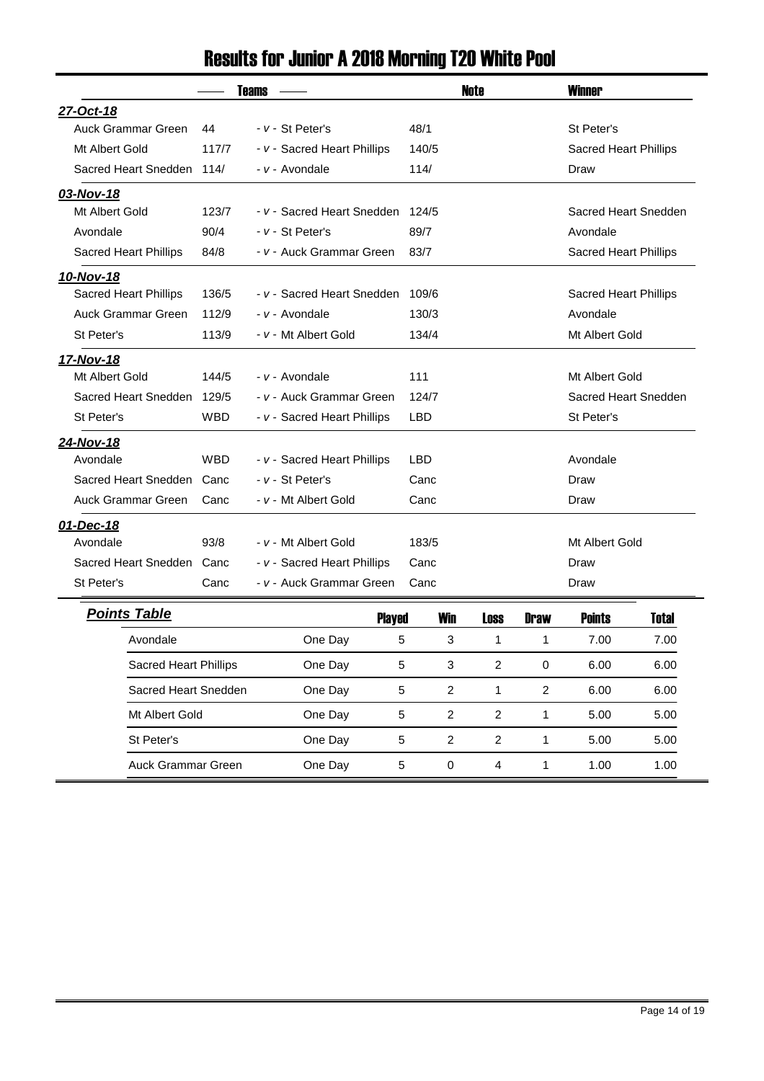### Results for Junior A 2018 Morning T20 White Pool

|                              |            | <b>Teams</b>                | Note               |             | <b>Winner</b>                 |
|------------------------------|------------|-----------------------------|--------------------|-------------|-------------------------------|
| 27-Oct-18                    |            |                             |                    |             |                               |
| Auck Grammar Green           | 44         | - v - St Peter's            | 48/1               |             | St Peter's                    |
| Mt Albert Gold               | 117/7      | - v - Sacred Heart Phillips | 140/5              |             | <b>Sacred Heart Phillips</b>  |
| Sacred Heart Snedden 114/    |            | - v - Avondale              | 114/               |             | Draw                          |
| 03-Nov-18                    |            |                             |                    |             |                               |
| Mt Albert Gold               | 123/7      | - v - Sacred Heart Snedden  | 124/5              |             | Sacred Heart Snedden          |
| Avondale                     | 90/4       | - v - St Peter's            | 89/7               |             | Avondale                      |
| <b>Sacred Heart Phillips</b> | 84/8       | - v - Auck Grammar Green    | 83/7               |             | Sacred Heart Phillips         |
| 10-Nov-18                    |            |                             |                    |             |                               |
| <b>Sacred Heart Phillips</b> | 136/5      | - v - Sacred Heart Snedden  | 109/6              |             | <b>Sacred Heart Phillips</b>  |
| Auck Grammar Green           | 112/9      | - v - Avondale              | 130/3              |             | Avondale                      |
| St Peter's                   | 113/9      | - v - Mt Albert Gold        | 134/4              |             | Mt Albert Gold                |
| 17-Nov-18                    |            |                             |                    |             |                               |
| Mt Albert Gold               | 144/5      | - v - Avondale              | 111                |             | Mt Albert Gold                |
| Sacred Heart Snedden         | 129/5      | - v - Auck Grammar Green    | 124/7              |             | Sacred Heart Snedden          |
| St Peter's                   | <b>WBD</b> | - v - Sacred Heart Phillips | <b>LBD</b>         |             | St Peter's                    |
| 24-Nov-18                    |            |                             |                    |             |                               |
| Avondale                     | <b>WBD</b> | - v - Sacred Heart Phillips | <b>LBD</b>         |             | Avondale                      |
| Sacred Heart Snedden         | Canc       | <i>- v - St Peter's</i>     | Canc               |             | Draw                          |
| Auck Grammar Green           | Canc       | - v - Mt Albert Gold        | Canc               |             | Draw                          |
| 01-Dec-18                    |            |                             |                    |             |                               |
| Avondale                     | 93/8       | - v - Mt Albert Gold        | 183/5              |             | Mt Albert Gold                |
| Sacred Heart Snedden Canc    |            | - v - Sacred Heart Phillips | Canc               |             | Draw                          |
| St Peter's                   | Canc       | - v - Auck Grammar Green    | Canc               |             | Draw                          |
| <b>Points Table</b>          |            | <b>Played</b>               | <b>Win</b><br>Loss | <b>Draw</b> | <b>Points</b><br><b>Total</b> |

| oints Table                  |         | <b>Played</b> | <b>Win</b>    | <b>Loss</b>   | <b>Draw</b>   | <b>Points</b> | <b>Total</b> |
|------------------------------|---------|---------------|---------------|---------------|---------------|---------------|--------------|
| Avondale                     | One Day | 5             | 3             |               |               | 7.00          | 7.00         |
| <b>Sacred Heart Phillips</b> | One Day | 5             | 3             | 2             | $\Omega$      | 6.00          | 6.00         |
| Sacred Heart Snedden         | One Day | 5             | $\mathcal{P}$ |               | $\mathcal{P}$ | 6.00          | 6.00         |
| Mt Albert Gold               | One Day | 5             | $\mathcal{P}$ | 2             |               | 5.00          | 5.00         |
| St Peter's                   | One Day | 5             | $\mathcal{P}$ | $\mathcal{P}$ |               | 5.00          | 5.00         |
| Auck Grammar Green           | One Day | 5             | $\Omega$      | 4             |               | 1.00          | 1.00         |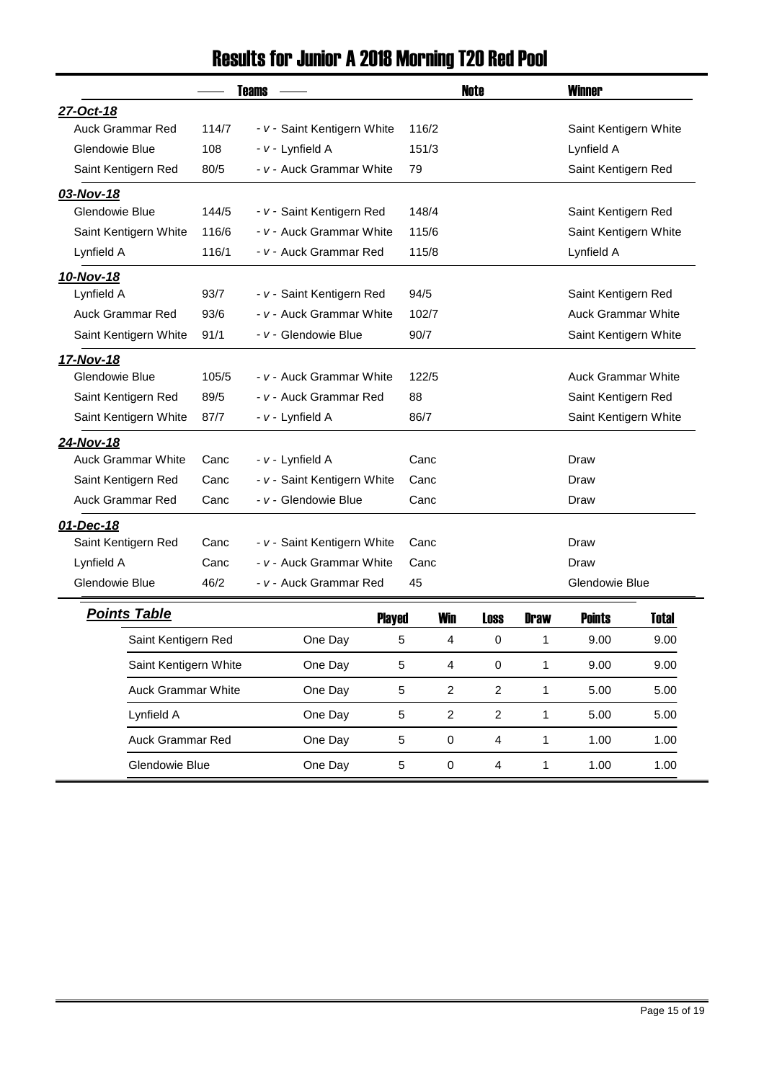### Results for Junior A 2018 Morning T20 Red Pool

|                           |       | <b>Teams</b>                    |            | <b>Note</b> |                       | <b>Winner</b>             |              |
|---------------------------|-------|---------------------------------|------------|-------------|-----------------------|---------------------------|--------------|
| 27-Oct-18                 |       |                                 |            |             |                       |                           |              |
| <b>Auck Grammar Red</b>   | 114/7 | - v - Saint Kentigern White     | 116/2      |             |                       | Saint Kentigern White     |              |
| Glendowie Blue            | 108   | - v - Lynfield A                | 151/3      |             |                       | Lynfield A                |              |
| Saint Kentigern Red       | 80/5  | - v - Auck Grammar White        | 79         |             |                       | Saint Kentigern Red       |              |
| 03-Nov-18                 |       |                                 |            |             |                       |                           |              |
| Glendowie Blue            | 144/5 | - v - Saint Kentigern Red       | 148/4      |             |                       | Saint Kentigern Red       |              |
| Saint Kentigern White     | 116/6 | - v - Auck Grammar White        | 115/6      |             |                       | Saint Kentigern White     |              |
| Lynfield A                | 116/1 | - v - Auck Grammar Red          | 115/8      |             |                       | Lynfield A                |              |
| 10-Nov-18                 |       |                                 |            |             |                       |                           |              |
| Lynfield A                | 93/7  | - v - Saint Kentigern Red       | 94/5       |             |                       | Saint Kentigern Red       |              |
| <b>Auck Grammar Red</b>   | 93/6  | - v - Auck Grammar White        | 102/7      |             |                       | <b>Auck Grammar White</b> |              |
| Saint Kentigern White     | 91/1  | - v - Glendowie Blue            | 90/7       |             | Saint Kentigern White |                           |              |
| 17-Nov-18                 |       |                                 |            |             |                       |                           |              |
| Glendowie Blue            | 105/5 | <i>- v -</i> Auck Grammar White | 122/5      |             |                       | <b>Auck Grammar White</b> |              |
| Saint Kentigern Red       | 89/5  | - v - Auck Grammar Red          | 88         |             |                       | Saint Kentigern Red       |              |
| Saint Kentigern White     | 87/7  | - v - Lynfield A                | 86/7       |             |                       | Saint Kentigern White     |              |
| 24-Nov-18                 |       |                                 |            |             |                       |                           |              |
| <b>Auck Grammar White</b> | Canc  | - v - Lynfield A                | Canc       |             |                       | Draw                      |              |
| Saint Kentigern Red       | Canc  | - v - Saint Kentigern White     | Canc       |             |                       | Draw                      |              |
| <b>Auck Grammar Red</b>   | Canc  | - v - Glendowie Blue            | Canc       |             |                       | Draw                      |              |
| 01-Dec-18                 |       |                                 |            |             |                       |                           |              |
| Saint Kentigern Red       | Canc  | - v - Saint Kentigern White     | Canc       |             |                       | Draw                      |              |
| Lynfield A                | Canc  | - v - Auck Grammar White        | Canc       |             | Draw                  |                           |              |
| Glendowie Blue            | 46/2  | - v - Auck Grammar Red          | 45         |             |                       | Glendowie Blue            |              |
| <b>Points Table</b>       |       | <b>Played</b>                   | <b>Win</b> | <b>Loss</b> | <b>Draw</b>           | <b>Points</b>             | <b>Total</b> |
| Saint Kentigern Red       |       | One Day                         | 5<br>4     | 0           | 1                     | 9.00                      | 9.00         |

|                           |         | - - <del>-</del> , -- |                |               |      |      |
|---------------------------|---------|-----------------------|----------------|---------------|------|------|
| Saint Kentigern Red       | One Day | 5                     | 4              | $\Omega$      | 9.00 | 9.00 |
| Saint Kentigern White     | One Day | 5                     | 4              | $\Omega$      | 9.00 | 9.00 |
| <b>Auck Grammar White</b> | One Day | 5                     | $\mathfrak{p}$ | $\mathcal{P}$ | 5.00 | 5.00 |
| Lynfield A                | One Day | 5                     | 2              | 2             | 5.00 | 5.00 |
| Auck Grammar Red          | One Day | 5                     | $\Omega$       | 4             | 1.00 | 1.00 |
| Glendowie Blue            | One Day | 5                     | 0              | 4             | 1.00 | 1.00 |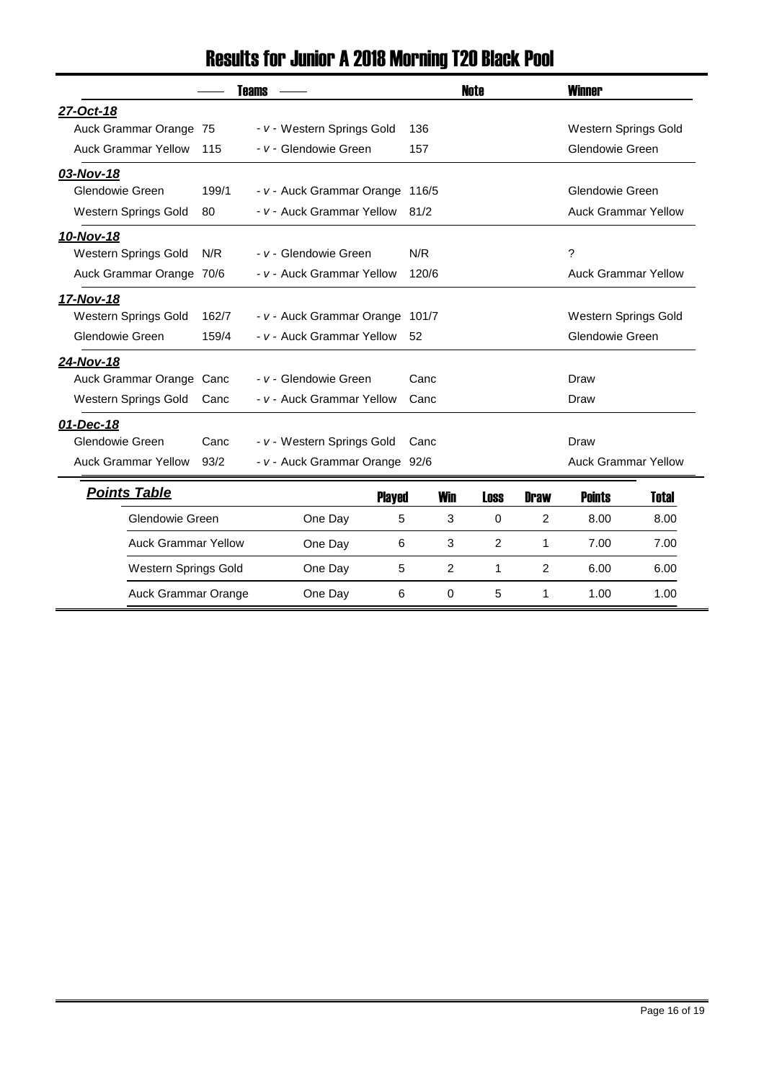### Results for Junior A 2018 Morning T20 Black Pool

|                             |       | <b>Teams</b>                    |       |            | Note |             | <b>Winner</b>              |              |
|-----------------------------|-------|---------------------------------|-------|------------|------|-------------|----------------------------|--------------|
| 27-Oct-18                   |       |                                 |       |            |      |             |                            |              |
| Auck Grammar Orange 75      |       | - v - Western Springs Gold      | 136   |            |      |             | Western Springs Gold       |              |
| <b>Auck Grammar Yellow</b>  | 115   | - v - Glendowie Green           | 157   |            |      |             | Glendowie Green            |              |
| 03-Nov-18                   |       |                                 |       |            |      |             |                            |              |
| Glendowie Green             | 199/1 | - v - Auck Grammar Orange 116/5 |       |            |      |             | Glendowie Green            |              |
| Western Springs Gold        | 80    | - v - Auck Grammar Yellow       | 81/2  |            |      |             | <b>Auck Grammar Yellow</b> |              |
| 10-Nov-18                   |       |                                 |       |            |      |             |                            |              |
| <b>Western Springs Gold</b> | N/R   | - v - Glendowie Green           | N/R   |            |      |             | ?                          |              |
| Auck Grammar Orange 70/6    |       | - v - Auck Grammar Yellow       | 120/6 |            |      |             | <b>Auck Grammar Yellow</b> |              |
| 17-Nov-18                   |       |                                 |       |            |      |             |                            |              |
| Western Springs Gold        | 162/7 | - v - Auck Grammar Orange 101/7 |       |            |      |             | Western Springs Gold       |              |
| Glendowie Green             | 159/4 | - v - Auck Grammar Yellow       | 52    |            |      |             | Glendowie Green            |              |
| 24-Nov-18                   |       |                                 |       |            |      |             |                            |              |
| Auck Grammar Orange         | Canc  | - v - Glendowie Green           | Canc  |            |      |             | Draw                       |              |
| Western Springs Gold        | Canc  | - v - Auck Grammar Yellow       | Canc  |            |      |             | Draw                       |              |
| 01-Dec-18                   |       |                                 |       |            |      |             |                            |              |
| Glendowie Green             | Canc  | - v - Western Springs Gold      | Canc  |            |      |             | Draw                       |              |
| <b>Auck Grammar Yellow</b>  | 93/2  | - v - Auck Grammar Orange 92/6  |       |            |      |             | <b>Auck Grammar Yellow</b> |              |
| <b>Points Table</b>         |       | <b>Played</b>                   |       | <b>Win</b> | Loss | <b>Draw</b> | <b>Points</b>              | <b>Total</b> |
| Glendowie Green             |       | One Day                         | 5     | 3          | 0    | 2           | 8.00                       | 8.00         |
| <b>Auck Grammar Yellow</b>  |       | One Day                         | 6     | 3          | 2    | 1           | 7.00                       | 7.00         |
| Western Springs Gold        |       | One Day                         | 5     | 2          | 1    | 2           | 6.00                       | 6.00         |
| Auck Grammar Orange         |       | One Day                         | 6     | 0          | 5    | 1           | 1.00                       | 1.00         |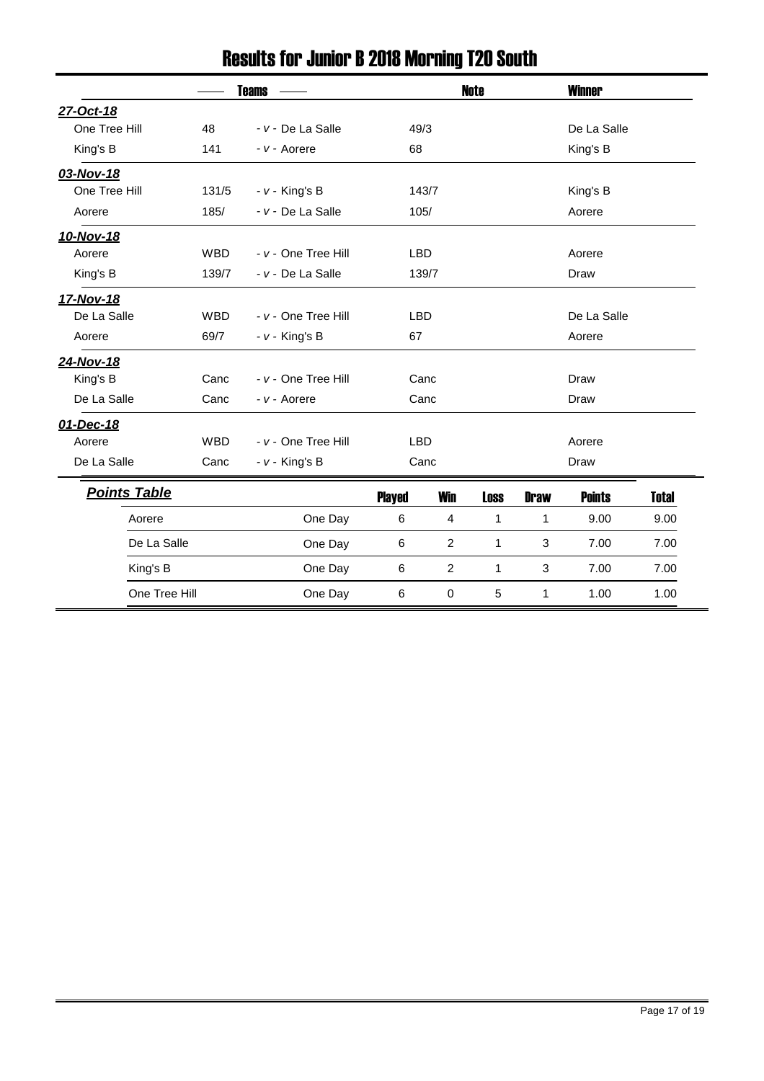|                     |               | <b>Teams</b>        |               |                | Note         |             | <b>Winner</b> |              |  |  |
|---------------------|---------------|---------------------|---------------|----------------|--------------|-------------|---------------|--------------|--|--|
| 27-Oct-18           |               |                     |               |                |              |             |               |              |  |  |
| One Tree Hill       | 48            | - v - De La Salle   | 49/3          |                |              |             | De La Salle   |              |  |  |
| King's B            | 141           | - v - Aorere        |               | 68             |              |             | King's B      |              |  |  |
| 03-Nov-18           |               |                     |               |                |              |             |               |              |  |  |
| One Tree Hill       | 131/5         | $- v -$ King's B    |               | 143/7          |              |             | King's B      |              |  |  |
| Aorere              | 185/          | - v - De La Salle   | 105/          |                |              |             | Aorere        |              |  |  |
| 10-Nov-18           |               |                     |               |                |              |             |               |              |  |  |
| Aorere              | <b>WBD</b>    | - v - One Tree Hill | <b>LBD</b>    |                |              |             | Aorere        |              |  |  |
| King's B            | 139/7         | - v - De La Salle   |               | 139/7          |              |             | Draw          |              |  |  |
| 17-Nov-18           |               |                     |               |                |              |             |               |              |  |  |
| De La Salle         | <b>WBD</b>    | - v - One Tree Hill | <b>LBD</b>    |                |              |             | De La Salle   |              |  |  |
| Aorere              | 69/7          | $- v -$ King's B    | 67            |                |              | Aorere      |               |              |  |  |
| 24-Nov-18           |               |                     |               |                |              |             |               |              |  |  |
| King's B            | Canc          | - v - One Tree Hill |               | Canc           |              |             | Draw          |              |  |  |
| De La Salle         | Canc          | - v - Aorere        |               | Canc           |              |             | Draw          |              |  |  |
| 01-Dec-18           |               |                     |               |                |              |             |               |              |  |  |
| Aorere              | <b>WBD</b>    | - v - One Tree Hill | <b>LBD</b>    |                |              |             | Aorere        |              |  |  |
| De La Salle         | Canc          | $- v -$ King's B    |               | Canc           |              |             | Draw          |              |  |  |
| <b>Points Table</b> |               |                     | <b>Played</b> | <b>Win</b>     | <b>Loss</b>  | <b>Draw</b> | <b>Points</b> | <b>Total</b> |  |  |
| Aorere              |               | One Day             | 6             | $\overline{4}$ | $\mathbf{1}$ | 1           | 9.00          | 9.00         |  |  |
|                     | De La Salle   | One Day             | 6             | $\overline{2}$ | $\mathbf{1}$ | 3           | 7.00          | 7.00         |  |  |
| King's B            |               | One Day             | 6             | $\overline{c}$ | 1            | 3           | 7.00          | 7.00         |  |  |
|                     | One Tree Hill | One Day             | 6             | 0              | 5            | 1           | 1.00          | 1.00         |  |  |

# Results for Junior B 2018 Morning T20 South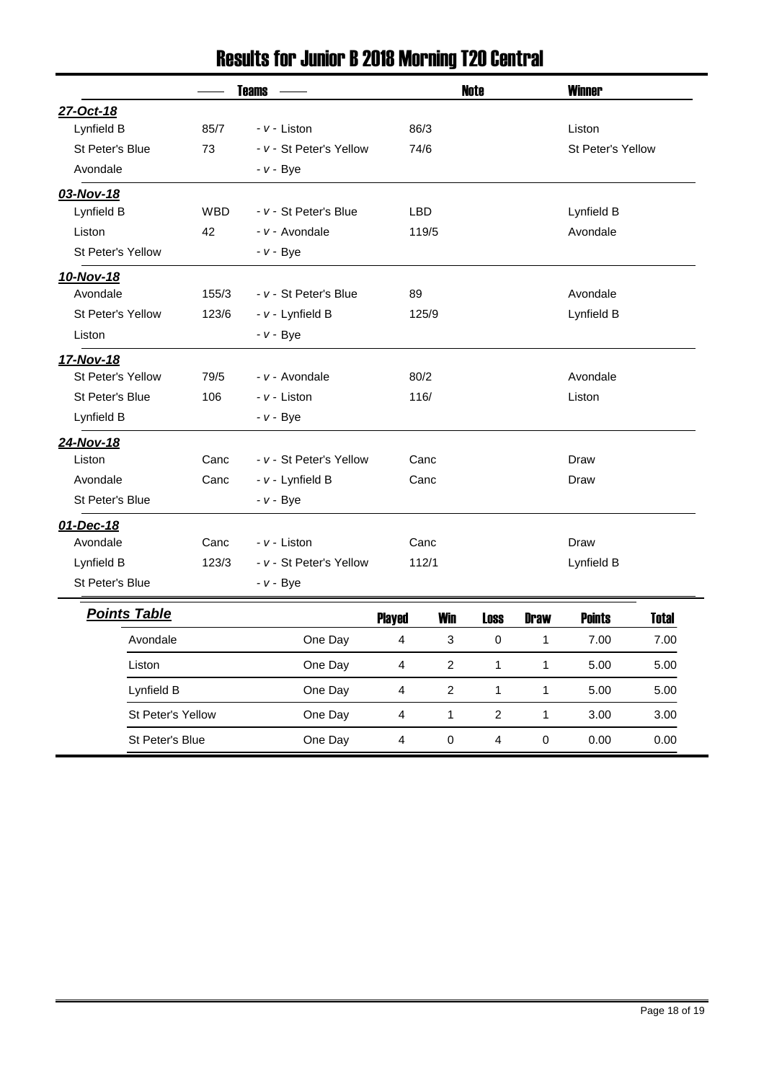### Results for Junior B 2018 Morning T20 Central

|                     |            | <b>Teams</b>            | <b>Note</b>                                                   |                                             | <b>Winner</b> |              |                   |              |  |
|---------------------|------------|-------------------------|---------------------------------------------------------------|---------------------------------------------|---------------|--------------|-------------------|--------------|--|
| 27-Oct-18           |            |                         |                                                               |                                             |               |              |                   |              |  |
| Lynfield B          | 85/7       | - v - Liston            | 86/3                                                          |                                             |               |              | Liston            |              |  |
| St Peter's Blue     | 73         | - v - St Peter's Yellow | 74/6                                                          |                                             |               |              | St Peter's Yellow |              |  |
| Avondale            |            | <i>- v -</i> Bye        |                                                               |                                             |               |              |                   |              |  |
| 03-Nov-18           |            |                         |                                                               |                                             |               |              |                   |              |  |
| Lynfield B          | <b>WBD</b> | - v - St Peter's Blue   | <b>LBD</b>                                                    |                                             |               |              | Lynfield B        |              |  |
| Liston              | 42         | - v - Avondale          |                                                               | 119/5                                       |               |              | Avondale          |              |  |
| St Peter's Yellow   |            | - v - Bye               |                                                               |                                             |               |              |                   |              |  |
| 10-Nov-18           |            |                         |                                                               |                                             |               |              |                   |              |  |
| Avondale            | 155/3      | - v - St Peter's Blue   | 89                                                            |                                             |               |              | Avondale          |              |  |
| St Peter's Yellow   | 123/6      | - v - Lynfield B        |                                                               | 125/9                                       |               |              | Lynfield B        |              |  |
| Liston              |            | $- v - Bye$             |                                                               |                                             |               |              |                   |              |  |
| 17-Nov-18           |            |                         |                                                               |                                             |               |              |                   |              |  |
| St Peter's Yellow   | 79/5       | - v - Avondale          | 80/2                                                          |                                             |               |              | Avondale          |              |  |
| St Peter's Blue     | 106        | - v - Liston            |                                                               | 116/                                        |               | Liston       |                   |              |  |
| Lynfield B          |            | <i>- v -</i> Bye        |                                                               |                                             |               |              |                   |              |  |
| 24-Nov-18           |            |                         |                                                               |                                             |               |              |                   |              |  |
| Liston              | Canc       | - v - St Peter's Yellow |                                                               | Canc                                        |               |              | Draw              |              |  |
| Avondale            | Canc       | - v - Lynfield B        |                                                               | Canc                                        |               |              | Draw              |              |  |
| St Peter's Blue     |            | $- v - Bye$             |                                                               |                                             |               |              |                   |              |  |
| 01-Dec-18           |            |                         |                                                               |                                             |               |              |                   |              |  |
| Avondale            | Canc       | - v - Liston            |                                                               | Canc                                        |               |              | Draw              |              |  |
| Lynfield B          | 123/3      | - v - St Peter's Yellow |                                                               | 112/1                                       |               |              | Lynfield B        |              |  |
| St Peter's Blue     |            | <i>- v -</i> Bye        |                                                               |                                             |               |              |                   |              |  |
| <b>Points Table</b> |            |                         | <b>Played</b>                                                 | <b>Win</b>                                  | <b>Loss</b>   | <b>Draw</b>  | <b>Points</b>     | <b>Total</b> |  |
| Avondale            |            | One Day                 | 4                                                             | 3                                           | 0             | $\mathbf{1}$ | 7.00              | 7.00         |  |
| Liston              |            | One Day                 | $\overline{4}$                                                | $\overline{c}$<br>1<br>$\mathbf{1}$<br>5.00 |               | 5.00         |                   |              |  |
| Lynfield B          |            | One Day                 | $\overline{c}$<br>$\overline{4}$<br>1<br>$\mathbf{1}$<br>5.00 |                                             | 5.00          |              |                   |              |  |
| St Peter's Yellow   |            | One Day                 | 4                                                             | 1                                           | 2             | 1            | 3.00              | 3.00         |  |
| St Peter's Blue     |            | One Day                 | $\overline{4}$                                                | 0                                           | 4             | 0            | 0.00              | 0.00         |  |